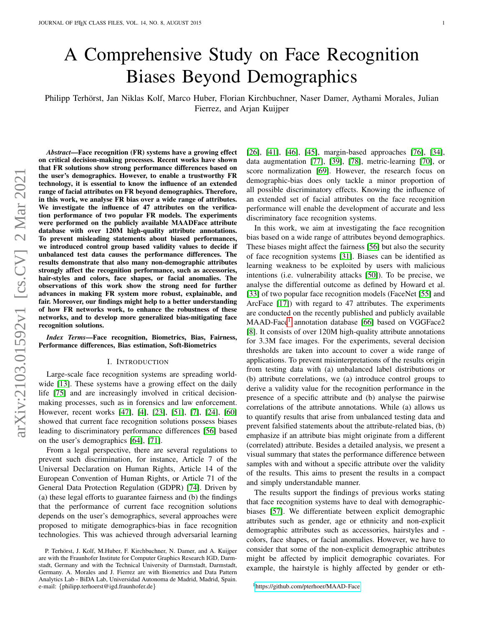# A Comprehensive Study on Face Recognition Biases Beyond Demographics

Philipp Terhörst, Jan Niklas Kolf, Marco Huber, Florian Kirchbuchner, Naser Damer, Aythami Morales, Julian Fierrez, and Arjan Kuijper

*Abstract*—Face recognition (FR) systems have a growing effect on critical decision-making processes. Recent works have shown that FR solutions show strong performance differences based on the user's demographics. However, to enable a trustworthy FR technology, it is essential to know the influence of an extended range of facial attributes on FR beyond demographics. Therefore, in this work, we analyse FR bias over a wide range of attributes. We investigate the influence of 47 attributes on the verification performance of two popular FR models. The experiments were performed on the publicly available MAADFace attribute database with over 120M high-quality attribute annotations. To prevent misleading statements about biased performances, we introduced control group based validity values to decide if unbalanced test data causes the performance differences. The results demonstrate that also many non-demographic attributes strongly affect the recognition performance, such as accessories, hair-styles and colors, face shapes, or facial anomalies. The observations of this work show the strong need for further advances in making FR system more robust, explainable, and fair. Moreover, our findings might help to a better understanding of how FR networks work, to enhance the robustness of these networks, and to develop more generalized bias-mitigating face recognition solutions.

*Index Terms*—Face recognition, Biometrics, Bias, Fairness, Performance differences, Bias estimation, Soft-Biometrics

#### I. INTRODUCTION

Large-scale face recognition systems are spreading worldwide [\[13\]](#page-12-0). These systems have a growing effect on the daily life [\[75\]](#page-13-0) and are increasingly involved in critical decisionmaking processes, such as in forensics and law enforcement. However, recent works [\[47\]](#page-12-1), [\[4\]](#page-11-0), [\[23\]](#page-12-2), [\[51\]](#page-13-1), [\[7\]](#page-12-3), [\[24\]](#page-12-4), [\[60\]](#page-13-2) showed that current face recognition solutions possess biases leading to discriminatory performance differences [\[56\]](#page-13-3) based on the user's demographics [\[64\]](#page-13-4), [\[71\]](#page-13-5).

From a legal perspective, there are several regulations to prevent such discrimination, for instance, Article 7 of the Universal Declaration on Human Rights, Article 14 of the European Convention of Human Rights, or Article 71 of the General Data Protection Regulation (GDPR) [\[74\]](#page-13-6). Driven by (a) these legal efforts to guarantee fairness and (b) the findings that the performance of current face recognition solutions depends on the user's demographics, several approaches were proposed to mitigate demographics-bias in face recognition technologies. This was achieved through adversarial learning [\[26\]](#page-12-5), [\[41\]](#page-12-6), [\[46\]](#page-12-7), [\[45\]](#page-12-8), margin-based approaches [\[76\]](#page-13-7), [\[34\]](#page-12-9), data augmentation [\[77\]](#page-13-8), [\[39\]](#page-12-10), [\[78\]](#page-13-9), metric-learning [\[70\]](#page-13-10), or score normalization [\[69\]](#page-13-11). However, the research focus on demographic-bias does only tackle a minor proportion of all possible discriminatory effects. Knowing the influence of an extended set of facial attributes on the face recognition performance will enable the development of accurate and less discriminatory face recognition systems.

In this work, we aim at investigating the face recognition bias based on a wide range of attributes beyond demographics. These biases might affect the fairness [\[56\]](#page-13-3) but also the security of face recognition systems [\[31\]](#page-12-11). Biases can be identified as learning weakness to be exploited by users with malicious intentions (i.e. vulnerability attacks [\[50\]](#page-13-12)). To be precise, we analyse the differential outcome as defined by Howard et al. [\[33\]](#page-12-12) of two popular face recognition models (FaceNet [\[55\]](#page-13-13) and ArcFace [\[17\]](#page-12-13)) with regard to 47 attributes. The experiments are conducted on the recently published and publicly available MAAD-Face<sup>[1](#page-0-0)</sup> annotation database [\[66\]](#page-13-14) based on VGGFace2 [\[8\]](#page-12-14). It consists of over 120M high-quality attribute annotations for 3.3M face images. For the experiments, several decision thresholds are taken into account to cover a wide range of applications. To prevent misinterpretations of the results origin from testing data with (a) unbalanced label distributions or (b) attribute correlations, we (a) introduce control groups to derive a validity value for the recognition performance in the presence of a specific attribute and (b) analyse the pairwise correlations of the attribute annotations. While (a) allows us to quantify results that arise from unbalanced testing data and prevent falsified statements about the attribute-related bias, (b) emphasize if an attribute bias might originate from a different (correlated) attribute. Besides a detailed analysis, we present a visual summary that states the performance difference between samples with and without a specific attribute over the validity of the results. This aims to present the results in a compact and simply understandable manner.

The results support the findings of previous works stating that face recognition systems have to deal with demographicbiases [\[57\]](#page-13-15). We differentiate between explicit demographic attributes such as gender, age or ethnicity and non-explicit demographic attributes such as accessories, hairstyles and colors, face shapes, or facial anomalies. However, we have to consider that some of the non-explicit demographic attributes might be affected by implicit demographic covariates. For example, the hairstyle is highly affected by gender or eth-

P. Terhörst, J. Kolf, M.Huber, F. Kirchbuchner, N. Damer, and A. Kuijper are with the Fraunhofer Institute for Computer Graphics Research IGD, Darmstadt, Germany and with the Technical University of Darmstadt, Darmstadt, Germany. A. Morales and J. Fierrez are with Biometrics and Data Pattern Analytics Lab - BiDA Lab, Universidad Autonoma de Madrid, Madrid, Spain. e-mail: {philipp.terhoerst@igd.fraunhofer.de}

<span id="page-0-0"></span><sup>1</sup>https://github.[com/pterhoer/MAAD-Face](https://github.com/pterhoer/MAAD-Face)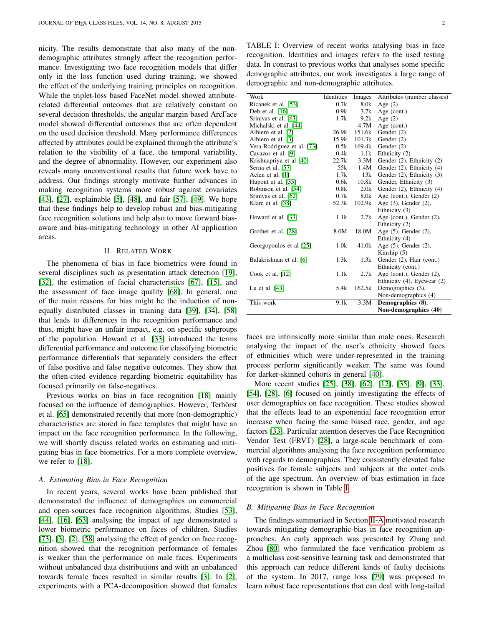nicity. The results demonstrate that also many of the nondemographic attributes strongly affect the recognition performance. Investigating two face recognition models that differ only in the loss function used during training, we showed the effect of the underlying training principles on recognition. While the triplet-loss based FaceNet model showed attributerelated differential outcomes that are relatively constant on several decision thresholds, the angular margin based ArcFace model showed differential outcomes that are often dependent on the used decision threshold. Many performance differences affected by attributes could be explained through the attribute's relation to the visibility of a face, the temporal variability, and the degree of abnormality. However, our experiment also reveals many unconventional results that future work have to address. Our findings strongly motivate further advances in making recognition systems more robust against covariates [\[43\]](#page-12-15), [\[27\]](#page-12-16), explainable [\[5\]](#page-11-1), [\[48\]](#page-12-17), and fair [\[57\]](#page-13-15), [\[49\]](#page-13-16). We hope that these findings help to develop robust and bias-mitigating face recognition solutions and help also to move forward biasaware and bias-mitigating technology in other AI application areas.

#### II. RELATED WORK

The phenomena of bias in face biometrics were found in several disciplines such as presentation attack detection [\[19\]](#page-12-18), [\[32\]](#page-12-19), the estimation of facial characteristics [\[67\]](#page-13-17), [\[15\]](#page-12-20), and the assessment of face image quality [\[68\]](#page-13-18). In general, one of the main reasons for bias might be the induction of nonequally distributed classes in training data [\[39\]](#page-12-10), [\[34\]](#page-12-9), [\[58\]](#page-13-19) that leads to differences in the recognition performance and thus, might have an unfair impact, e.g. on specific subgroups of the population. Howard et al. [\[33\]](#page-12-12) introduced the terms differential performance and outcome for classifying biometric performance differentials that separately considers the effect of false positive and false negative outcomes. They show that the often-cited evidence regarding biometric equitability has focused primarily on false-negatives.

Previous works on bias in face recognition [\[18\]](#page-12-21) mainly focused on the influence of demographics. However, Terhörst et al. [\[65\]](#page-13-20) demonstrated recently that more (non-demographic) characteristics are stored in face templates that might have an impact on the face recognition performance. In the following, we will shortly discuss related works on estimating and mitigating bias in face biometrics. For a more complete overview, we refer to [\[18\]](#page-12-21).

# <span id="page-1-1"></span>*A. Estimating Bias in Face Recognition*

In recent years, several works have been published that demonstrated the influence of demographics on commercial and open-sources face recognition algorithms. Studies [\[53\]](#page-13-21), [\[44\]](#page-12-22), [\[16\]](#page-12-23), [\[63\]](#page-13-22) analysing the impact of age demonstrated a lower biometric performance on faces of children. Studies [\[73\]](#page-13-23), [\[3\]](#page-11-2), [\[2\]](#page-11-3), [\[58\]](#page-13-19) analysing the effect of gender on face recognition showed that the recognition performance of females is weaker than the performance on male faces. Experiments without unbalanced data distributions and with an unbalanced towards female faces resulted in similar results [\[3\]](#page-11-2). In [\[2\]](#page-11-3), experiments with a PCA-decomposition showed that females

<span id="page-1-0"></span>TABLE I: Overview of recent works analysing bias in face recognition. Identities and images refers to the used testing data. In contrast to previous works that analyses some specific demographic attributes, our work investigates a large range of demographic and non-demographic attributes.

| Work                       | Identities     | Images | Attributes (number classes) |
|----------------------------|----------------|--------|-----------------------------|
| Ricanek et al. [53]        | 0.7k           | 8.0k   | Age $(2)$                   |
| Deb et al. [16]            | 0.9k           | 3.7k   | Age (cont.)                 |
| Srinivas et al. [63]       | 1.7k           | 9.2k   | Age $(2)$                   |
| Michalski et al. [44]      | $\overline{a}$ | 4.7M   | Age (cont.)                 |
| Albiero et al. [2]         | 26.9k          | 151.6k | Gender (2)                  |
| Albiero et al. [3]         | 15.9k          | 101.3k | Gender (2)                  |
| Vera-Rodriguez et al. [73] | 0.5k           | 169.4k | Gender (2)                  |
| Cavazos et al. [9]         | 0.4k           | 1.1k   | Ethnicity (2)               |
| Krishnapriya et al [40]    | 22.7k          | 3.3M   | Gender (2), Ethnicity (2)   |
| Serna et al. [57]          | 55k            | 1.4M   | Gender (2), Ethnicity (4)   |
| Acien et al. [1]           | 1.7k           | 13k    | Gender (2), Ethnicity (3)   |
| Hupont et al. [35]         | 0.6k           | 10.8k  | Gender, Ethnicity (3)       |
| Robinson et al. [54]       | 0.8k           | 2.0k   | Gender (2), Ethnicity (4)   |
| Srinivas et al. [62]       | 0.7k           | 8.0k   | Age (cont.), Gender (2)     |
| Klare et al. [38]          | 52.3k          | 102.9k | Age (3), Gender (2),        |
|                            |                |        | Ethnicity (3)               |
| Howard et al. [33]         | 1.1k           | 2.7k   | Age (cont.), Gender (2),    |
|                            |                |        | Ethnicity (2)               |
| Grother et al. [28]        | 8.0M           | 18.0M  | Age (5), Gender (2),        |
|                            |                |        | Ethnicity (4)               |
| Georgopoulos et al [25]    | 1.0k           | 41.0k  | Age $(5)$ , Gender $(2)$ ,  |
|                            |                |        | Kinship $(5)$               |
| Balakrishnan et al. [6]    | 1.3k           | 1.3k   | Gender (2), Hair (cont.)    |
|                            |                |        | Ethnicity (cont.)           |
| Cook et al. $[12]$         | 1.1k           | 2.7k   | Age (cont.), Gender $(2)$ , |
|                            |                |        | Ethnicity (4), Eyewear (2)  |
| Lu et al. $[43]$           | 5.4k           | 162.5k | Demographics (3),           |
|                            |                |        | Non-demographics (4)        |
| This work                  | 9.1k           | 3.3M   | Demographics (8),           |
|                            |                |        | Non-demographics (40)       |

faces are intrinsically more similar than male ones. Research analysing the impact of the user's ethnicity showed faces of ethnicities which were under-represented in the training process perform significantly weaker. The same was found for darker-skinned cohorts in general [\[40\]](#page-12-25).

More recent studies [\[25\]](#page-12-29), [\[38\]](#page-12-27), [\[62\]](#page-13-25), [\[12\]](#page-12-31), [\[35\]](#page-12-26), [\[9\]](#page-12-24), [\[33\]](#page-12-12), [\[54\]](#page-13-24), [\[28\]](#page-12-28), [\[6\]](#page-12-30) focused on jointly investigating the effects of user demographics on face recognition. These studies showed that the effects lead to an exponential face recognition error increase when facing the same biased race, gender, and age factors [\[33\]](#page-12-12). Particular attention deserves the Face Recognition Vendor Test (FRVT) [\[28\]](#page-12-28), a large-scale benchmark of commercial algorithms analysing the face recognition performance with regards to demographics. They consistently elevated false positives for female subjects and subjects at the outer ends of the age spectrum. An overview of bias estimation in face recognition is shown in Table [I.](#page-1-0)

# *B. Mitigating Bias in Face Recognition*

The findings summarized in Section [II-A](#page-1-1) motivated research towards mitigating demographic-bias in face recognition approaches. An early approach was presented by Zhang and Zhou [\[80\]](#page-13-26) who formulated the face verification problem as a multiclass cost-sensitive learning task and demonstrated that this approach can reduce different kinds of faulty decisions of the system. In 2017, range loss [\[79\]](#page-13-27) was proposed to learn robust face representations that can deal with long-tailed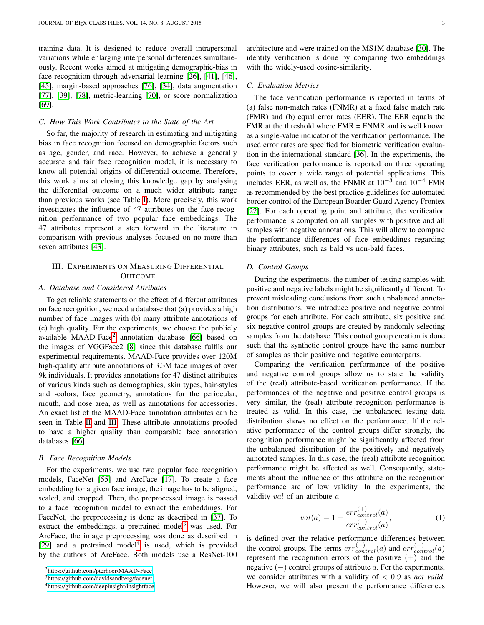training data. It is designed to reduce overall intrapersonal variations while enlarging interpersonal differences simultaneously. Recent works aimed at mitigating demographic-bias in face recognition through adversarial learning [\[26\]](#page-12-5), [\[41\]](#page-12-6), [\[46\]](#page-12-7), [\[45\]](#page-12-8), margin-based approaches [\[76\]](#page-13-7), [\[34\]](#page-12-9), data augmentation [\[77\]](#page-13-8), [\[39\]](#page-12-10), [\[78\]](#page-13-9), metric-learning [\[70\]](#page-13-10), or score normalization [\[69\]](#page-13-11).

#### *C. How This Work Contributes to the State of the Art*

So far, the majority of research in estimating and mitigating bias in face recognition focused on demographic factors such as age, gender, and race. However, to achieve a generally accurate and fair face recognition model, it is necessary to know all potential origins of differential outcome. Therefore, this work aims at closing this knowledge gap by analysing the differential outcome on a much wider attribute range than previous works (see Table [I\)](#page-1-0). More precisely, this work investigates the influence of 47 attributes on the face recognition performance of two popular face embeddings. The 47 attributes represent a step forward in the literature in comparison with previous analyses focused on no more than seven attributes [\[43\]](#page-12-15).

# III. EXPERIMENTS ON MEASURING DIFFERENTIAL **OUTCOME**

## *A. Database and Considered Attributes*

To get reliable statements on the effect of different attributes on face recognition, we need a database that (a) provides a high number of face images with (b) many attribute annotations of (c) high quality. For the experiments, we choose the publicly available MAAD-Face<sup>[2](#page-2-0)</sup> annotation database [\[66\]](#page-13-14) based on the images of VGGFace2 [\[8\]](#page-12-14) since this database fulfils our experimental requirements. MAAD-Face provides over 120M high-quality attribute annotations of 3.3M face images of over 9k individuals. It provides annotations for 47 distinct attributes of various kinds such as demographics, skin types, hair-styles and -colors, face geometry, annotations for the periocular, mouth, and nose area, as well as annotations for accessories. An exact list of the MAAD-Face annotation attributes can be seen in Table [II](#page-6-0) and [III.](#page-7-0) These attribute annotations proofed to have a higher quality than comparable face annotation databases [\[66\]](#page-13-14).

#### *B. Face Recognition Models*

For the experiments, we use two popular face recognition models, FaceNet [\[55\]](#page-13-13) and ArcFace [\[17\]](#page-12-13). To create a face embedding for a given face image, the image has to be aligned, scaled, and cropped. Then, the preprocessed image is passed to a face recognition model to extract the embeddings. For FaceNet, the preprocessing is done as described in [\[37\]](#page-12-32). To extract the embeddings, a pretrained model<sup>[3](#page-2-1)</sup> was used. For ArcFace, the image preprocessing was done as described in [\[29\]](#page-12-33) and a pretrained model<sup>[4](#page-2-2)</sup> is used, which is provided by the authors of ArcFace. Both models use a ResNet-100

<span id="page-2-0"></span><sup>2</sup>https://github.[com/pterhoer/MAAD-Face](https://github.com/pterhoer/MAAD-Face)

<span id="page-2-2"></span><sup>4</sup>https://github.[com/deepinsight/insightface](https://github.com/deepinsight/insightface)

architecture and were trained on the MS1M database [\[30\]](#page-12-34). The identity verification is done by comparing two embeddings with the widely-used cosine-similarity.

## <span id="page-2-3"></span>*C. Evaluation Metrics*

The face verification performance is reported in terms of (a) false non-match rates (FNMR) at a fixed false match rate (FMR) and (b) equal error rates (EER). The EER equals the FMR at the threshold where  $FMR = FNMR$  and is well known as a single-value indicator of the verification performance. The used error rates are specified for biometric verification evaluation in the international standard [\[36\]](#page-12-35). In the experiments, the face verification performance is reported on three operating points to cover a wide range of potential applications. This includes EER, as well as, the FNMR at  $10^{-3}$  and  $10^{-4}$  FMR as recommended by the best practice guidelines for automated border control of the European Boarder Guard Agency Frontex [\[22\]](#page-12-36). For each operating point and attribute, the verification performance is computed on all samples with positive and all samples with negative annotations. This will allow to compare the performance differences of face embeddings regarding binary attributes, such as bald vs non-bald faces.

#### <span id="page-2-4"></span>*D. Control Groups*

During the experiments, the number of testing samples with positive and negative labels might be significantly different. To prevent misleading conclusions from such unbalanced annotation distributions, we introduce positive and negative control groups for each attribute. For each attribute, six positive and six negative control groups are created by randomly selecting samples from the database. This control group creation is done such that the synthetic control groups have the same number of samples as their positive and negative counterparts.

Comparing the verification performance of the positive and negative control groups allow us to state the validity of the (real) attribute-based verification performance. If the performances of the negative and positive control groups is very similar, the (real) attribute recognition performance is treated as valid. In this case, the unbalanced testing data distribution shows no effect on the performance. If the relative performance of the control groups differ strongly, the recognition performance might be significantly affected from the unbalanced distribution of the positively and negatively annotated samples. In this case, the (real) attribute recognition performance might be affected as well. Consequently, statements about the influence of this attribute on the recognition performance are of low validity. In the experiments, the validity val of an attribute a

<span id="page-2-5"></span>
$$
val(a) = 1 - \frac{err_{control}^{(+)}(a)}{err_{control}^{(-)}(a)},
$$
\n(1)

is defined over the relative performance differences between the control groups. The terms  $err_{control}^{(+)}(a)$  and  $err_{control}^{(-)}(a)$ represent the recognition errors of the positive  $(+)$  and the negative  $(-)$  control groups of attribute a. For the experiments, we consider attributes with a validity of < 0.9 as *not valid*. However, we will also present the performance differences

<span id="page-2-1"></span><sup>3</sup>https://github.[com/davidsandberg/facenet](https://github.com/davidsandberg/facenet)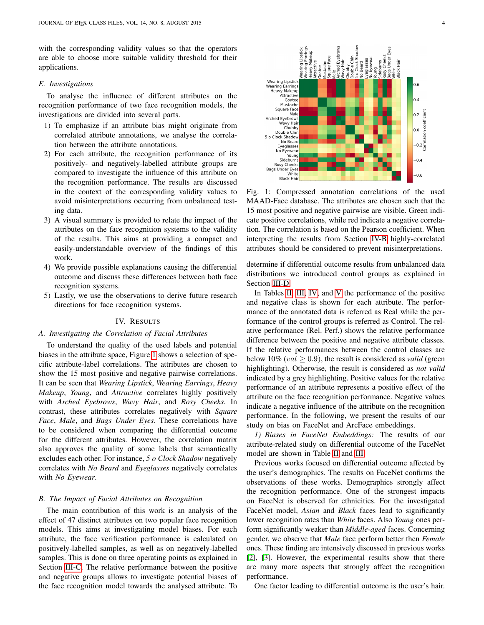with the corresponding validity values so that the operators are able to choose more suitable validity threshold for their applications.

# *E. Investigations*

To analyse the influence of different attributes on the recognition performance of two face recognition models, the investigations are divided into several parts.

- 1) To emphasize if an attribute bias might originate from correlated attribute annotations, we analyse the correlation between the attribute annotations.
- 2) For each attribute, the recognition performance of its positively- and negatively-labelled attribute groups are compared to investigate the influence of this attribute on the recognition performance. The results are discussed in the context of the corresponding validity values to avoid misinterpretations occurring from unbalanced testing data.
- 3) A visual summary is provided to relate the impact of the attributes on the face recognition systems to the validity of the results. This aims at providing a compact and easily-understandable overview of the findings of this work.
- 4) We provide possible explanations causing the differential outcome and discuss these differences between both face recognition systems.
- 5) Lastly, we use the observations to derive future research directions for face recognition systems.

# IV. RESULTS

#### <span id="page-3-2"></span>*A. Investigating the Correlation of Facial Attributes*

To understand the quality of the used labels and potential biases in the attribute space, Figure [1](#page-3-0) shows a selection of specific attribute-label correlations. The attributes are chosen to show the 15 most positive and negative pairwise correlations. It can be seen that *Wearing Lipstick*, *Wearing Earrings*, *Heavy Makeup*, *Young*, and *Attractive* correlates highly positively with *Arched Eyebrows*, *Wavy Hair*, and *Rosy Cheeks*. In contrast, these attributes correlates negatively with *Square Face*, *Male*, and *Bags Under Eyes*. These correlations have to be considered when comparing the differential outcome for the different attributes. However, the correlation matrix also approves the quality of some labels that semantically excludes each other. For instance, *5 o Clock Shadow* negatively correlates with *No Beard* and *Eyeglasses* negatively correlates with *No Eyewear*.

#### <span id="page-3-1"></span>*B. The Impact of Facial Attributes on Recognition*

The main contribution of this work is an analysis of the effect of 47 distinct attributes on two popular face recognition models. This aims at investigating model biases. For each attribute, the face verification performance is calculated on positively-labelled samples, as well as on negatively-labelled samples. This is done on three operating points as explained in Section [III-C.](#page-2-3) The relative performance between the positive and negative groups allows to investigate potential biases of the face recognition model towards the analysed attribute. To

<span id="page-3-0"></span>

Fig. 1: Compressed annotation correlations of the used MAAD-Face database. The attributes are chosen such that the 15 most positive and negative pairwise are visible. Green indicate positive correlations, while red indicate a negative correlation. The correlation is based on the Pearson coefficient. When interpreting the results from Section [IV-B](#page-3-1) highly-correlated attributes should be considered to prevent misinterpretations.

determine if differential outcome results from unbalanced data distributions we introduced control groups as explained in Section [III-D.](#page-2-4)

In Tables [II,](#page-6-0) [III,](#page-7-0) [IV,](#page-8-0) and [V](#page-9-0) the performance of the positive and negative class is shown for each attribute. The performance of the annotated data is referred as Real while the performance of the control groups is referred as Control. The relative performance (Rel. Perf.) shows the relative performance difference between the positive and negative attribute classes. If the relative performances between the control classes are below 10% (*val*  $\geq$  0.9), the result is considered as *valid* (green highlighting). Otherwise, the result is considered as *not valid* indicated by a grey highlighting. Positive values for the relative performance of an attribute represents a positive effect of the attribute on the face recognition performance. Negative values indicate a negative influence of the attribute on the recognition performance. In the following, we present the results of our study on bias on FaceNet and ArcFace embeddings.

*1) Biases in FaceNet Embeddings:* The results of our attribute-related study on differential outcome of the FaceNet model are shown in Table [II](#page-6-0) and [III.](#page-7-0)

Previous works focused on differential outcome affected by the user's demographics. The results on FaceNet confirms the observations of these works. Demographics strongly affect the recognition performance. One of the strongest impacts on FaceNet is observed for ethnicities. For the investigated FaceNet model, *Asian* and *Black* faces lead to significantly lower recognition rates than *White* faces. Also *Young* ones perform significantly weaker than *Middle-aged* faces. Concerning gender, we observe that *Male* face perform better then *Female* ones. These finding are intensively discussed in previous works [\[2\]](#page-11-3), [\[3\]](#page-11-2). However, the experimental results show that there are many more aspects that strongly affect the recognition performance.

One factor leading to differential outcome is the user's hair.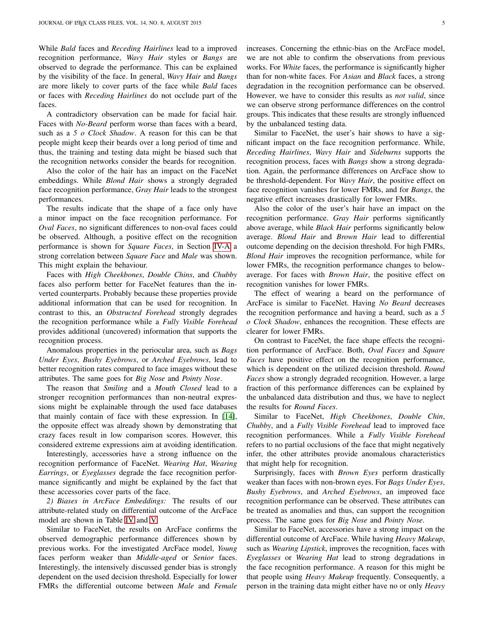While *Bald* faces and *Receding Hairlines* lead to a improved recognition performance, *Wavy Hair* styles or *Bangs* are observed to degrade the performance. This can be explained by the visibility of the face. In general, *Wavy Hair* and *Bangs* are more likely to cover parts of the face while *Bald* faces or faces with *Receding Hairlines* do not occlude part of the faces.

A contradictory observation can be made for facial hair. Faces with *No-Beard* perform worse than faces with a beard, such as a *5 o Clock Shadow*. A reason for this can be that people might keep their beards over a long period of time and thus, the training and testing data might be biased such that the recognition networks consider the beards for recognition.

Also the color of the hair has an impact on the FaceNet embeddings. While *Blond Hair* shows a strongly degraded face recognition performance, *Gray Hair* leads to the strongest performances.

The results indicate that the shape of a face only have a minor impact on the face recognition performance. For *Oval Faces*, no significant differences to non-oval faces could be observed. Although, a positive effect on the recognition performance is shown for *Square Faces*, in Section [IV-A](#page-3-2) a strong correlation between *Square Face* and *Male* was shown. This might explain the behaviour.

Faces with *High Cheekbones*, *Double Chins*, and *Chubby* faces also perform better for FaceNet features than the inverted counterparts. Probably because these properties provide additional information that can be used for recognition. In contrast to this, an *Obstructed Forehead* strongly degrades the recognition performance while a *Fully Visible Forehead* provides additional (uncovered) information that supports the recognition process.

Anomalous properties in the periocular area, such as *Bags Under Eyes*, *Bushy Eyebrows*, or *Arched Eyebrows*, lead to better recognition rates compared to face images without these attributes. The same goes for *Big Nose* and *Pointy Nose*.

The reason that *Smiling* and a *Mouth Closed* lead to a stronger recognition performances than non-neutral expressions might be explainable through the used face databases that mainly contain of face with these expression. In [\[14\]](#page-12-37), the opposite effect was already shown by demonstrating that crazy faces result in low comparison scores. However, this considered extreme expressions aim at avoiding identification.

Interestingly, accessories have a strong influence on the recognition performance of FaceNet. *Wearing Hat*, *Wearing Earrings*, or *Eyeglasses* degrade the face recognition performance significantly and might be explained by the fact that these accessories cover parts of the face.

*2) Biases in ArcFace Embeddings:* The results of our attribute-related study on differential outcome of the ArcFace model are shown in Table [IV](#page-8-0) and [V.](#page-9-0)

Similar to FaceNet, the results on ArcFace confirms the observed demographic performance differences shown by previous works. For the investigated ArcFace model, *Young* faces perform weaker than *Middle-aged* or *Senior* faces. Interestingly, the intensively discussed gender bias is strongly dependent on the used decision threshold. Especially for lower FMRs the differential outcome between *Male* and *Female* increases. Concerning the ethnic-bias on the ArcFace model, we are not able to confirm the observations from previous works. For *White* faces, the performance is significantly higher than for non-white faces. For *Asian* and *Black* faces, a strong degradation in the recognition performance can be observed. However, we have to consider this results as *not valid*, since we can observe strong performance differences on the control groups. This indicates that these results are strongly influenced by the unbalanced testing data.

Similar to FaceNet, the user's hair shows to have a significant impact on the face recognition performance. While, *Receding Hairlines*, *Wavy Hair* and *Sideburns* supports the recognition process, faces with *Bangs* show a strong degradation. Again, the performance differences on ArcFace show to be threshold-dependent. For *Wavy Hair*, the positive effect on face recognition vanishes for lower FMRs, and for *Bangs*, the negative effect increases drastically for lower FMRs.

Also the color of the user's hair have an impact on the recognition performance. *Gray Hair* performs significantly above average, while *Black Hair* performs significantly below average. *Blond Hair* and *Brown Hair* lead to differential outcome depending on the decision threshold. For high FMRs, *Blond Hair* improves the recognition performance, while for lower FMRs, the recognition performance changes to belowaverage. For faces with *Brown Hair*, the positive effect on recognition vanishes for lower FMRs.

The effect of wearing a beard on the performance of ArcFace is similar to FaceNet. Having *No Beard* decreases the recognition performance and having a beard, such as a *5 o Clock Shadow*, enhances the recognition. These effects are clearer for lower FMRs.

On contrast to FaceNet, the face shape effects the recognition performance of ArcFace. Both, *Oval Faces* and *Square Faces* have positive effect on the recognition performance, which is dependent on the utilized decision threshold. *Round Faces* show a strongly degraded recognition. However, a large fraction of this performance differences can be explained by the unbalanced data distribution and thus, we have to neglect the results for *Round Faces*.

Similar to FaceNet, *High Cheekbones*, *Double Chin*, *Chubby*, and a *Fully Visible Forehead* lead to improved face recognition performances. While a *Fully Visible Forehead* refers to no partial occlusions of the face that might negatively infer, the other attributes provide anomalous characteristics that might help for recognition.

Surprisingly, faces with *Brown Eyes* perform drastically weaker than faces with non-brown eyes. For *Bags Under Eyes*, *Bushy Eyebrows*, and *Arched Eyebrows*, an improved face recognition performance can be observed. These attributes can be treated as anomalies and thus, can support the recognition process. The same goes for *Big Nose* and *Pointy Nose*.

Similar to FaceNet, accessories have a strong impact on the differential outcome of ArcFace. While having *Heavy Makeup*, such as *Wearing Lipstick*, improves the recognition, faces with *Eyeglasses* or *Wearing Hat* lead to strong degradations in the face recognition performance. A reason for this might be that people using *Heavy Makeup* frequently. Consequently, a person in the training data might either have no or only *Heavy*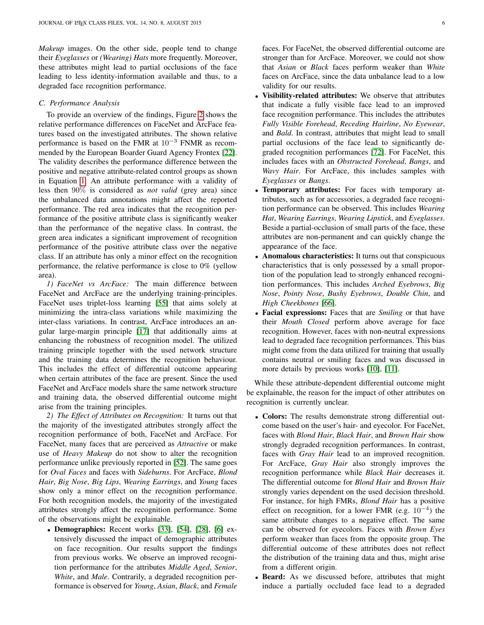*Makeup* images. On the other side, people tend to change their *Eyeglasses* or *(Wearing) Hats* more frequently. Moreover, these attributes might lead to partial occlusions of the face leading to less identity-information available and thus, to a degraded face recognition performance.

#### *C. Performance Analysis*

To provide an overview of the findings, Figure [2](#page-10-0) shows the relative performance differences on FaceNet and ArcFace features based on the investigated attributes. The shown relative performance is based on the FMR at 10−<sup>3</sup> FNMR as recommended by the European Boarder Guard Agency Frontex [\[22\]](#page-12-36). The validity describes the performance difference between the positive and negative attribute-related control groups as shown in Equation [1.](#page-2-5) An attribute performance with a validity of less then 90% is considered as *not valid* (grey area) since the unbalanced data annotations might affect the reported performance. The red area indicates that the recognition performance of the positive attribute class is significantly weaker than the performance of the negative class. In contrast, the green area indicates a significant improvement of recognition performance of the positive attribute class over the negative class. If an attribute has only a minor effect on the recognition performance, the relative performance is close to 0% (yellow area).

*1) FaceNet vs ArcFace:* The main difference between FaceNet and ArcFace are the underlying training-principles. FaceNet uses triplet-loss learning [\[55\]](#page-13-13) that aims solely at minimizing the intra-class variations while maximizing the inter-class variations. In contrast, ArcFace introduces an angular large-margin principle [\[17\]](#page-12-13) that additionally aims at enhancing the robustness of recognition model. The utilized training principle together with the used network structure and the training data determines the recognition behaviour. This includes the effect of differential outcome appearing when certain attributes of the face are present. Since the used FaceNet and ArcFace models share the same network structure and training data, the observed differential outcome might arise from the training principles.

*2) The Effect of Attributes on Recognition:* It turns out that the majority of the investigated attributes strongly affect the recognition performance of both, FaceNet and ArcFace. For FaceNet, many faces that are perceived as *Attractive* or make use of *Heavy Makeup* do not show to alter the recognition performance unlike previously reported in [\[52\]](#page-13-28). The same goes for *Oval Faces* and faces with *Sideburns*. For ArcFace, *Blond Hair*, *Big Nose*, *Big Lips*, *Wearing Earrings*, and *Young* faces show only a minor effect on the recognition performance. For both recognition models, the majority of the investigated attributes strongly affect the recognition performance. Some of the observations might be explainable.

• Demographics: Recent works [\[33\]](#page-12-12), [\[54\]](#page-13-24), [\[28\]](#page-12-28), [\[6\]](#page-12-30) extensively discussed the impact of demographic attributes on face recognition. Our results support the findings from previous works. We observe an improved recognition performance for the attributes *Middle Aged*, *Senior*, *White*, and *Male*. Contrarily, a degraded recognition performance is observed for *Young*, *Asian*, *Black*, and *Female*

faces. For FaceNet, the observed differential outcome are stronger than for ArcFace. Moreover, we could not show that *Asian* or *Black* faces perform weaker than *White* faces on ArcFace, since the data unbalance lead to a low validity for our results.

- Visibility-related attributes: We observe that attributes that indicate a fully visible face lead to an improved face recognition performance. This includes the attributes *Fully Visible Forehead*, *Receding Hairline*, *No Eyewear*, and *Bald*. In contrast, attributes that might lead to small partial occlusions of the face lead to significantly degraded recognition performances [\[72\]](#page-13-29). For FaceNet, this includes faces with an *Obstructed Forehead*, *Bangs*, and *Wavy Hair*. For ArcFace, this includes samples with *Eyeglasses* or *Bangs*.
- Temporary attributes: For faces with temporary attributes, such as for accessories, a degraded face recognition performance can be observed. This includes *Wearing Hat*, *Wearing Earrings*, *Wearing Lipstick*, and *Eyeglasses*. Beside a partial-occlusion of small parts of the face, these attributes are non-permanent and can quickly change the appearance of the face.
- Anomalous characteristics: It turns out that conspicuous characteristics that is only possessed by a small proportion of the population lead to strongly enhanced recognition performances. This includes *Arched Eyebrows*, *Big Nose*, *Pointy Nose*, *Bushy Eyebrows*, *Double Chin*, and *High Cheekbones* [\[66\]](#page-13-14).
- Facial expressions: Faces that are *Smiling* or that have their *Mouth Closed* perform above average for face recognition. However, faces with non-neutral expressions lead to degraded face recognition performances. This bias might come from the data utilized for training that usually contains neutral or smiling faces and was discussed in more details by previous works [\[10\]](#page-12-38), [\[11\]](#page-12-39).

While these attribute-dependent differential outcome might be explainable, the reason for the impact of other attributes on recognition is currently unclear.

- Colors: The results demonstrate strong differential outcome based on the user's hair- and eyecolor. For FaceNet, faces with *Blond Hair*, *Black Hair*, and *Brown Hair* show strongly degraded recognition performances. In contrast, faces with *Gray Hair* lead to an improved recognition. For ArcFace, *Gray Hair* also strongly improves the recognition performance while *Black Hair* decreases it. The differential outcome for *Blond Hair* and *Brown Hair* strongly varies dependent on the used decision threshold. For instance, for high FMRs, *Blond Hair* has a positive effect on recognition, for a lower FMR (e.g.  $10^{-4}$ ) the same attribute changes to a negative effect. The same can be observed for eyecolors. Faces with *Brown Eyes* perform weaker than faces from the opposite group. The differential outcome of these attributes does not reflect the distribution of the training data and thus, might arise from a different origin.
- Beard: As we discussed before, attributes that might induce a partially occluded face lead to a degraded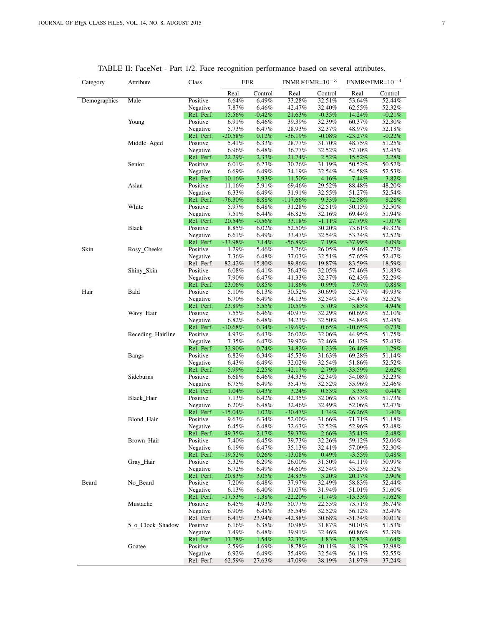<span id="page-6-0"></span>

| Category     | Attribute         | Class                  |                 | <b>EER</b>     |                  | FNMR@FMR= $10^{-3}$ |                  | $FNMR@FMR=10^{-4}$ |  |
|--------------|-------------------|------------------------|-----------------|----------------|------------------|---------------------|------------------|--------------------|--|
|              |                   |                        | Real            | Control        | Real             | Control             | Real             | Control            |  |
| Demographics | Male              | Positive               | 6.64%           | 6.49%          | 33.28%           | 32.51%              | 53.64%           | 52.44%             |  |
|              |                   | Negative               | 7.87%           | 6.46%          | 42.47%           | 32.40%              | 62.55%           | 52.32%             |  |
|              |                   | Rel. Perf.             | 15.56%          | $-0.42%$       | 21.63%           | $-0.35%$            | 14.24%           | $-0.21%$           |  |
|              | Young             | Positive               | 6.91%           | 6.46%          | 39.39%           | 32.39%              | 60.37%           | 52.30%             |  |
|              |                   | Negative               | 5.73%           | 6.47%          | 28.93%           | 32.37%              | 48.97%           | 52.18%             |  |
|              |                   | Rel. Perf.             | $-20.58%$       | 0.12%          | $-36.19\%$       | $-0.08%$            | $-23.27%$        | $-0.22%$           |  |
|              | Middle_Aged       | Positive               | 5.41%           | 6.33%          | 28.77%           | 31.70%              | 48.75%           | 51.25%             |  |
|              |                   | Negative               | 6.96%           | 6.48%          | 36.77%           | 32.52%              | 57.70%           | 52.45%             |  |
|              | Senior            | Rel. Perf.<br>Positive | 22.29%<br>6.01% | 2.33%<br>6.23% | 21.74%<br>30.26% | 2.52%<br>31.19%     | 15.52%<br>50.52% | 2.28%<br>50.52%    |  |
|              |                   | Negative               | 6.69%           | 6.49%          | 34.19%           | 32.54%              | 54.58%           | 52.53%             |  |
|              |                   | Rel. Perf.             | 10.16%          | 3.93%          | 11.50%           | 4.16%               | 7.44%            | 3.82%              |  |
|              | Asian             | Positive               | 11.16%          | 5.91%          | 69.46%           | 29.52%              | 88.48%           | 48.20%             |  |
|              |                   | Negative               | 6.33%           | 6.49%          | 31.91%           | 32.55%              | 51.27%           | 52.54%             |  |
|              |                   | Rel. Perf.             | $-76.30%$       | 8.88%          | $-117.66\%$      | 9.33%               | $-72.58\%$       | $8.28\%$           |  |
|              | White             | Positive               | 5.97%           | 6.48%          | 31.28%           | 32.51%              | 50.15%           | 52.50%             |  |
|              |                   | Negative               | 7.51%           | 6.44%          | 46.82%           | 32.16%              | 69.44%           | 51.94%             |  |
|              |                   | Rel. Perf.             | 20.54%          | $-0.56%$       | 33.18%           | $-1.11%$            | 27.79%           | $-1.07\%$          |  |
|              | <b>Black</b>      | Positive               | 8.85%           | 6.02%          | 52.50%           | 30.20%              | 73.61%           | 49.32%             |  |
|              |                   | Negative               | 6.61%           | 6.49%          | 33.47%           | 32.54%              | 53.34%           | 52.52%             |  |
|              |                   | Rel. Perf.             | $-33.98%$       | 7.14%          | $-56.89%$        | 7.19%               | $-37.99%$        | $6.09\%$           |  |
| Skin         | Rosy_Cheeks       | Positive               | 1.29%           | 5.46%          | 3.76%            | 26.05%              | 9.46%            | 42.72%             |  |
|              |                   | Negative               | 7.36%           | 6.48%          | 37.03%           | 32.51%              | 57.65%           | 52.47%             |  |
|              |                   | Rel. Perf.             | 82.42%          | 15.80%         | 89.86%           | 19.87%              | 83.59%           | 18.59%             |  |
|              | Shiny_Skin        | Positive               | 6.08%           | 6.41%          | 36.43%           | 32.05%              | 57.46%           | 51.83%             |  |
|              |                   | Negative               | 7.90%           | 6.47%          | 41.33%           | 32.37%              | 62.43%           | 52.29%             |  |
|              |                   | Rel. Perf.             | 23.06%          | $0.85\%$       | 11.86%           | 0.99%               | 7.97%            | 0.88%              |  |
| Hair         | Bald              | Positive               | 5.10%           | 6.13%          | 30.52%           | 30.69%              | 52.37%           | 49.93%             |  |
|              |                   | Negative<br>Rel. Perf. | 6.70%<br>23.89% | 6.49%<br>5.55% | 34.13%<br>10.59% | 32.54%<br>5.70%     | 54.47%<br>3.85%  | 52.52%<br>4.94%    |  |
|              | Wavy_Hair         | Positive               | 7.55%           | 6.46%          | 40.97%           | 32.29%              | 60.69%           | 52.10%             |  |
|              |                   | Negative               | 6.82%           | 6.48%          | 34.23%           | 32.50%              | 54.84%           | 52.48%             |  |
|              |                   | Rel. Perf.             | $-10.68%$       | 0.34%          | $-19.69%$        | 0.65%               | $-10.65\%$       | 0.73%              |  |
|              | Receding_Hairline | Positive               | 4.93%           | 6.43%          | 26.02%           | 32.06%              | 44.95%           | 51.75%             |  |
|              |                   | Negative               | 7.35%           | 6.47%          | 39.92%           | 32.46%              | 61.12%           | 52.43%             |  |
|              |                   | Rel. Perf.             | 32.90%          | 0.74%          | 34.82%           | 1.23%               | 26.46%           | 1.29%              |  |
|              | <b>Bangs</b>      | Positive               | 6.82%           | 6.34%          | 45.53%           | 31.63%              | 69.28%           | 51.14%             |  |
|              |                   | Negative               | 6.43%           | 6.49%          | 32.02%           | 32.54%              | 51.86%           | 52.52%             |  |
|              |                   | Rel. Perf.             | $-5.99\%$       | 2.25%          | $-42.17%$        | 2.79%               | $-33.59%$        | 2.62%              |  |
|              | Sideburns         | Positive               | 6.68%           | 6.46%          | 34.33%           | 32.34%              | 54.08%           | 52.23%             |  |
|              |                   | Negative               | 6.75%           | 6.49%          | 35.47%           | 32.52%              | 55.96%           | 52.46%             |  |
|              |                   | Rel. Perf.<br>Positive | 1.04%           | 0.43%          | 3.24%<br>42.35%  | 0.53%               | 3.35%            | 0.44%              |  |
|              | Black_Hair        | Negative               | 7.13%<br>6.20%  | 6.42%<br>6.48% | 32.46%           | 32.06%<br>32.49%    | 65.73%<br>52.06% | 51.73%<br>52.47%   |  |
|              |                   | Rel. Perf.             | $-15.04%$       | 1.02%          | $-30.47%$        | 1.34%               | $-26.26\%$       | 1.40%              |  |
|              | Blond_Hair        | Positive               | 9.63%           | 6.34%          | 52.00%           | 31.66%              | 71.71%           | 51.18%             |  |
|              |                   | Negative               | 6.45%           | 6.48%          | 32.63%           | 32.52%              | 52.96%           | 52.48%             |  |
|              |                   | Rel. Perf.             | $-49.35%$       | 2.17%          | $-59.37%$        | 2.66%               | $-35.41%$        | 2.48%              |  |
|              | Brown_Hair        | Positive               | 7.40%           | $6.45\%$       | 39.73%           | 32.26%              | 59.12%           | 52.06%             |  |
|              |                   | Negative               | 6.19%           | 6.47%          | 35.13%           | 32.41%              | 57.09%           | 52.30%             |  |
|              |                   | Rel. Perf.             | $-19.52%$       | $0.26\%$       | $-13.08\%$       | 0.49%               | $-3.55%$         | $0.48\%$           |  |
|              | Gray_Hair         | Positive               | 5.32%           | 6.29%          | 26.00%           | 31.50%              | 44.11%           | 50.99%             |  |
|              |                   | Negative               | 6.72%           | 6.49%          | 34.60%           | 32.54%              | 55.25%           | 52.52%             |  |
|              |                   | Rel. Perf.             | 20.83%          | 3.05%          | 24.83%           | 3.20%               | 20.17%           | 2.90%              |  |
| Beard        | No_Beard          | Positive               | 7.20%           | 6.48%          | 37.97%           | 32.49%              | 58.83%           | 52.44%             |  |
|              |                   | Negative               | 6.13%           | 6.40%          | 31.07%           | 31.94%              | 51.01%           | 51.60%             |  |
|              |                   | Rel. Perf.             | $-17.53%$       | $-1.38\%$      | $-22.20%$        | $-1.74%$            | $-15.33%$        | $-1.62\%$          |  |
|              | Mustache          | Positive               | 6.45%           | 4.93%          | 50.77%           | 22.55%              | 73.71%           | 36.74%             |  |
|              |                   | Negative               | 6.90%           | 6.48%          | 35.54%           | 32.52%              | 56.12%           | 52.49%             |  |
|              | 5 o Clock Shadow  | Rel. Perf.<br>Positive | 6.41%           | 23.94%         | $-42.88%$        | 30.68%              | $-31.34\%$       | 30.01%             |  |
|              |                   | Negative               | 6.16%<br>7.49%  | 6.38%<br>6.48% | 30.98%<br>39.91% | 31.87%<br>32.46%    | 50.01%<br>60.86% | 51.53%<br>52.39%   |  |
|              |                   | Rel. Perf.             | 17.78%          | 1.54%          | 22.37%           | 1.83%               | 17.83%           | 1.64%              |  |
|              | Goatee            | Positive               | 2.59%           | 4.69%          | 18.78%           | 20.11%              | 38.17%           | 32.98%             |  |
|              |                   | Negative               | 6.92%           | 6.49%          | 35.49%           | 32.54%              | 56.11%           | 52.55%             |  |
|              |                   | Rel. Perf.             | 62.59%          | 27.63%         | 47.09%           | 38.19%              | 31.97%           | 37.24%             |  |
|              |                   |                        |                 |                |                  |                     |                  |                    |  |

# TABLE II: FaceNet - Part 1/2. Face recognition performance based on several attributes.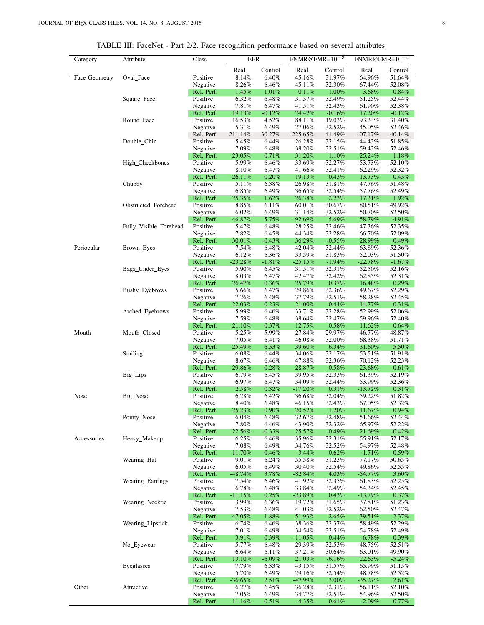<span id="page-7-0"></span>

| Category             | Attribute              | Class                  | <b>EER</b>          |                 | $FNMR@FMR=10^{-3}$   |                    | $FNMR@FMR=10^{-4}$   |                    |
|----------------------|------------------------|------------------------|---------------------|-----------------|----------------------|--------------------|----------------------|--------------------|
|                      |                        |                        | Real                | Control         | Real                 | Control            | Real                 | Control            |
| <b>Face Geometry</b> | Oval_Face              | Positive               | 8.14%               | 6.40%           | 45.16%               | 31.97%             | 64.96%               | 51.64%             |
|                      |                        | Negative               | 8.26%               | 6.46%           | 45.11%               | 32.30%             | 67.44%               | 52.08%             |
|                      |                        | Rel. Perf.             | 1.45%               | 1.01%           | $-0.11%$             | 1.00%              | 3.68%                | 0.84%              |
|                      | Square_Face            | Positive               | 6.32%               | 6.48%           | 31.37%               | 32.49%             | 51.25%               | 52.44%             |
|                      |                        | Negative               | 7.81%               | 6.47%           | 41.51%               | 32.43%             | 61.90%               | 52.38%             |
|                      |                        | Rel. Perf.             | 19.13%              | $-0.12%$        | 24.42%               | $-0.16%$           | 17.20%               | $-0.12%$           |
|                      | Round_Face             | Positive               | 16.53%              | 4.52%           | 88.11%               | 19.03%             | 93.33%               | 31.40%             |
|                      |                        | Negative               | 5.31%               | 6.49%           | 27.06%<br>$-225.65%$ | 32.52%             | 45.05%               | 52.46%             |
|                      | Double_Chin            | Rel. Perf.<br>Positive | $-211.14%$<br>5.45% | 30.27%<br>6.44% | 26.28%               | 41.49%<br>32.15%   | $-107.17%$<br>44.43% | 40.14%<br>51.85%   |
|                      |                        | Negative               | 7.09%               | 6.48%           | 38.20%               | 32.51%             | 59.43%               | 52.46%             |
|                      |                        | Rel. Perf.             | 23.05%              | 0.71%           | 31.20%               | 1.10%              | 25.24%               | 1.18%              |
|                      | High_Cheekbones        | Positive               | 5.99%               | 6.46%           | 33.69%               | 32.27%             | 53.73%               | 52.10%             |
|                      |                        | Negative               | 8.10%               | 6.47%           | 41.66%               | 32.41%             | 62.29%               | 52.32%             |
|                      |                        | Rel. Perf.             | 26.11%              | 0.20%           | 19.13%               | 0.43%              | 13.73%               | 0.43%              |
|                      | Chubby                 | Positive               | 5.11%               | 6.38%           | 26.98%               | 31.81%             | 47.76%               | 51.48%             |
|                      |                        | Negative               | 6.85%               | 6.49%           | 36.65%               | 32.54%             | 57.76%               | 52.49%             |
|                      |                        | Rel. Perf.             | 25.35%              | 1.62%           | 26.38%               | 2.23%              | 17.31%               | 1.92%              |
|                      | Obstructed_Forehead    | Positive               | 8.85%               | 6.11%           | 60.01%               | 30.67%             | 80.51%               | 49.92%             |
|                      |                        | Negative               | 6.02%               | 6.49%           | 31.14%               | 32.52%             | 50.70%               | 52.50%             |
|                      |                        | Rel. Perf.             | $-46.87\%$          | 5.75%           | $-92.69\%$           | 5.69%              | -58.79%              | 4.91%              |
|                      | Fully_Visible_Forehead | Positive               | 5.47%               | 6.48%           | 28.25%               | 32.46%             | 47.36%               | 52.35%             |
|                      |                        | Negative               | 7.82%               | 6.45%           | 44.34%               | 32.28%             | 66.70%               | 52.09%             |
|                      |                        | Rel. Perf.             | 30.01%              | $-0.43%$        | 36.29%               | $-0.55%$           | 28.99%               | $-0.49%$           |
| Periocular           | Brown_Eyes             | Positive               | 7.54%               | 6.48%           | 42.04%               | 32.44%             | 63.89%               | 52.36%             |
|                      |                        | Negative               | 6.12%               | 6.36%           | 33.59%               | 31.83%             | 52.03%               | 51.50%             |
|                      |                        | Rel. Perf.             | $-23.28%$           | $-1.81%$        | $-25.15%$            | $-1.94%$           | $-22.78%$            | $-1.67\%$          |
|                      | Bags_Under_Eyes        | Positive               | 5.90%               | 6.45%           | 31.51%               | 32.31%             | 52.50%               | 52.16%             |
|                      |                        | Negative               | 8.03%               | 6.47%           | 42.47%               | 32.42%             | 62.85%               | 52.31%             |
|                      |                        | Rel. Perf.             | 26.47%              | 0.36%           | 25.79%               | 0.37%              | 16.48%               | 0.29%              |
|                      | Bushy_Eyebrows         | Positive               | 5.66%               | 6.47%           | 29.86%               | 32.36%             | 49.67%               | 52.29%             |
|                      |                        | Negative               | 7.26%               | 6.48%           | 37.79%               | 32.51%             | 58.28%               | 52.45%             |
|                      |                        | Rel. Perf.             | 22.03%              | 0.23%           | 21.00%               | 0.44%              | 14.77%               | 0.31%              |
|                      | Arched_Eyebrows        | Positive               | 5.99%               | 6.46%           | 33.71%               | 32.28%             | 52.99%               | 52.06%             |
|                      |                        | Negative               | 7.59%               | 6.48%           | 38.64%               | 32.47%             | 59.96%               | 52.40%             |
|                      |                        | Rel. Perf.<br>Positive | 21.10%<br>5.25%     | 0.37%<br>5.99%  | 12.75%<br>27.84%     | $0.58\%$<br>29.97% | 11.62%<br>46.77%     | $0.64\%$<br>48.87% |
| Mouth                | Mouth_Closed           | Negative               | 7.05%               | 6.41%           | 46.08%               | 32.00%             | 68.38%               | 51.71%             |
|                      |                        | Rel. Perf.             | 25.49%              | 6.53%           | 39.60%               | $6.34\%$           | 31.60%               | 5.50%              |
|                      | Smiling                | Positive               | $6.08\%$            | 6.44%           | 34.06%               | 32.17%             | 53.51%               | 51.91%             |
|                      |                        | Negative               | 8.67%               | 6.46%           | 47.88%               | 32.36%             | 70.12%               | 52.23%             |
|                      |                        | Rel. Perf.             | 29.86%              | 0.28%           | 28.87%               | 0.58%              | 23.68%               | 0.61%              |
|                      | Big_Lips               | Positive               | 6.79%               | 6.45%           | 39.95%               | 32.33%             | 61.39%               | 52.19%             |
|                      |                        | Negative               | 6.97%               | 6.47%           | 34.09%               | 32.44%             | 53.99%               | 52.36%             |
|                      |                        | Rel. Perf.             | 2.58%               | 0.32%           | $-17.20%$            | 0.31%              | $-13.72%$            | 0.31%              |
| Nose                 | Big_Nose               | Positive               | 6.28%               | 6.42%           | 36.68%               | 32.04%             | 59.22%               | 51.82%             |
|                      |                        | Negative               | 8.40%               | 6.48%           | 46.15%               | 32.43%             | 67.05%               | 52.32%             |
|                      |                        | Rel. Perf.             | 25.23%              | $0.90\%$        | 20.52%               | 1.20%              | 11.67%               | 0.94%              |
|                      | Pointy_Nose            | Positive               | $6.04\%$            | 6.48%           | 32.67%               | 32.48%             | 51.66%               | 52.44%             |
|                      |                        | Negative               | 7.80%               | 6.46%           | 43.90%               | 32.32%             | 65.97%               | 52.22%             |
|                      |                        | Rel. Perf.             | 22.56%              | $-0.33%$        | 25.57%               | $-0.49%$           | 21.69%               | $-0.42%$           |
| Accessories          | Heavy_Makeup           | Positive               | 6.25%               | 6.46%           | 35.96%               | 32.31%             | 55.91%               | 52.17%             |
|                      |                        | Negative               | 7.08%               | 6.49%           | 34.76%               | 32.52%             | 54.97%               | 52.48%             |
|                      |                        | Rel. Perf.             | 11.70%              | 0.46%           | $-3.44\%$            | $0.62\%$           | $-1.71%$             | $0.59\%$           |
|                      | Wearing_Hat            | Positive               | 9.01%               | 6.24%           | 55.58%               | 31.23%             | 77.17%               | 50.65%             |
|                      |                        | Negative               | 6.05%               | 6.49%           | 30.40%               | 32.54%             | 49.86%               | 52.55%             |
|                      |                        | Rel. Perf.             | $-48.74%$           | 3.78%           | $-82.84%$            | 4.03%              | -54.77%              | 3.60%              |
|                      | Wearing_Earrings       | Positive               | 7.54%<br>6.78%      | 6.46%<br>6.48%  | 41.92%               | 32.35%<br>32.49%   | 61.83%<br>54.34%     | 52.25%<br>52.45%   |
|                      |                        | Negative<br>Rel. Perf. | $-11.15%$           | 0.25%           | 33.84%<br>$-23.89%$  | 0.43%              | $-13.79\%$           | 0.37%              |
|                      |                        | Positive               | 3.99%               | 6.36%           | 19.72%               | 31.65%             | 37.81%               | 51.23%             |
|                      | Wearing_Necktie        | Negative               | 7.53%               | 6.48%           | 41.03%               | 32.52%             | 62.50%               | 52.47%             |
|                      |                        | Rel. Perf.             | 47.05%              | 1.88%           | 51.93%               | 2.65%              | 39.51%               | 2.37%              |
|                      | Wearing_Lipstick       | Positive               | $6.74\%$            | 6.46%           | 38.36%               | 32.37%             | 58.49%               | 52.29%             |
|                      |                        | Negative               | 7.01%               | 6.49%           | 34.54%               | 32.51%             | 54.78%               | 52.49%             |
|                      |                        | Rel. Perf.             | 3.91%               | 0.39%           | $-11.05\%$           | 0.44%              | $-6.78\%$            | $0.39\%$           |
|                      | No_Eyewear             | Positive               | 5.77%               | 6.48%           | 29.39%               | 32.53%             | 48.75%               | 52.51%             |
|                      |                        | Negative               | 6.64%               | 6.11%           | 37.21%               | 30.64%             | 63.01%               | 49.90%             |
|                      |                        | Rel. Perf.             | 13.10%              | $-6.09%$        | 21.03%               | $-6.16%$           | 22.63%               | $-5.24\%$          |
|                      | Eyeglasses             | Positive               | 7.79%               | 6.33%           | 43.15%               | 31.57%             | 65.99%               | 51.15%             |
|                      |                        | Negative               | 5.70%               | 6.49%           | 29.16%               | 32.54%             | 48.78%               | 52.52%             |
|                      |                        | Rel. Perf.             | $-36.65\%$          | 2.51%           | $-47.99%$            | 3.00%              | $-35.27\%$           | 2.61%              |
| Other                | Attractive             | Positive               | $6.27\%$            | 6.45%           | 36.28%               | 32.31%             | 56.11%               | 52.10%             |
|                      |                        | Negative               | 7.05%               | 6.49%           | 34.77%               | 32.51%             | 54.96%               | 52.50%             |
|                      |                        | Rel. Perf.             | 11.16%              | 0.51%           | $-4.35%$             | $0.61\%$           | $-2.09\%$            | 0.77%              |

TABLE III: FaceNet - Part 2/2. Face recognition performance based on several attributes.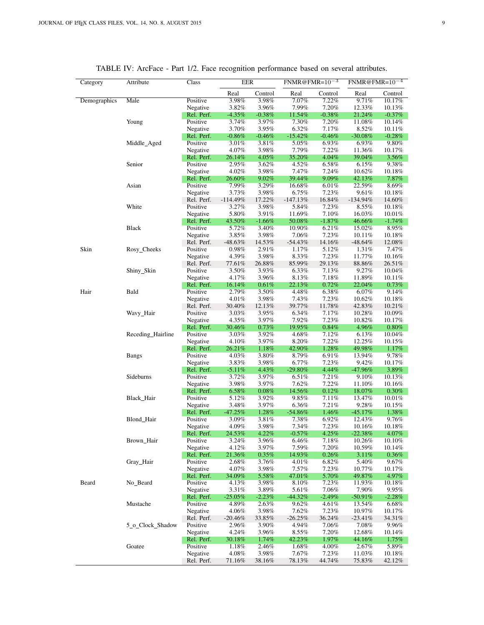<span id="page-8-0"></span>

| Category     | Attribute         | Class                  |                 | <b>EER</b>     |                 | $FNMR@FMR=10^{-3}$ |                  | $FNMR@FMR=10-4$   |  |
|--------------|-------------------|------------------------|-----------------|----------------|-----------------|--------------------|------------------|-------------------|--|
|              |                   |                        | Real            | Control        | Real            | Control            | Real             | Control           |  |
| Demographics | Male              | Positive               | 3.98%           | 3.98%          | 7.07%           | 7.22%              | 9.71%            | 10.17%            |  |
|              |                   | Negative               | 3.82%           | 3.96%          | 7.99%           | 7.20%              | 12.33%           | 10.13%            |  |
|              |                   | Rel. Perf.             | $-4.35%$        | $-0.38%$       | 11.54%          | $-0.38%$           | 21.24%           | $-0.37\%$         |  |
|              | Young             | Positive               | 3.74%           | 3.97%          | 7.30%           | 7.20%              | 11.08%           | 10.14%            |  |
|              |                   | Negative               | 3.70%           | 3.95%          | 6.32%           | 7.17%              | 8.52%            | 10.11%            |  |
|              |                   | Rel. Perf.             | $-0.86\%$       | $-0.46%$       | $-15.42%$       | $-0.46\%$          | -30.08%          | $-0.28\%$         |  |
|              | Middle_Aged       | Positive               | 3.01%           | 3.81%          | 5.05%           | 6.93%              | 6.93%            | 9.80%             |  |
|              |                   | Negative               | 4.07%           | 3.98%          | 7.79%           | 7.22%              | 11.36%           | 10.17%            |  |
|              |                   | Rel. Perf.             | 26.14%          | $4.05\%$       | 35.20%          | 4.04%              | 39.04%           | $3.56\%$          |  |
|              | Senior            | Positive               | 2.95%           | 3.62%          | 4.52%           | 6.58%              | 6.15%            | 9.38%             |  |
|              |                   | Negative               | 4.02%           | 3.98%          | 7.47%           | 7.24%              | 10.62%           | 10.18%            |  |
|              |                   | Rel. Perf.             | 26.60%          | 9.02%          | 39.44%          | $9.09\%$           | 42.13%           | $7.87\%$          |  |
|              | Asian             | Positive               | 7.99%           | 3.29%          | 16.68%          | 6.01%              | 22.59%           | 8.69%             |  |
|              |                   | Negative               | 3.73%           | 3.98%          | $6.75\%$        | 7.23%              | 9.61%            | 10.18%            |  |
|              |                   | Rel. Perf.             | $-114.49%$      | 17.22%         | $-147.13\%$     | 16.84%             | $-134.94%$       | 14.60%            |  |
|              | White             | Positive               | 3.27%           | 3.98%          | 5.84%           | 7.23%              | 8.55%            | 10.18%            |  |
|              |                   | Negative               | 5.80%           | 3.91%          | 11.69%          | 7.10%              | 16.03%           | $10.01\%$         |  |
|              |                   | Rel. Perf.             | 43.50%          | $-1.66%$       | 50.08%          | $-1.87\%$          | 46.66%           | $-1.74%$          |  |
|              | Black             | Positive               | 5.72%           | 3.40%          | 10.90%          | 6.21%              | 15.02%           | 8.95%             |  |
|              |                   | Negative               | 3.85%           | 3.98%          | 7.06%           | 7.23%              | 10.11%           | 10.18%            |  |
|              |                   | Rel. Perf.             | $-48.63%$       | 14.53%         | $-54.43%$       | 14.16%             | -48.64%          | 12.08%            |  |
| Skin         | Rosy_Cheeks       | Positive               | $0.98\%$        | 2.91%          | 1.17%           | 5.12%              | 1.31%            | 7.47%             |  |
|              |                   | Negative               | 4.39%           | 3.98%          | 8.33%           | 7.23%              | 11.77%           | 10.16%            |  |
|              |                   | Rel. Perf.             | 77.61%          | 26.88%         | 85.99%          | 29.13%             | 88.86%           | 26.51%            |  |
|              | Shiny_Skin        | Positive               | 3.50%           | 3.93%          | 6.33%           | 7.13%              | 9.27%            | 10.04%            |  |
|              |                   | Negative               | 4.17%           | 3.96%          | 8.13%           | 7.18%              | 11.89%           | 10.11%            |  |
|              |                   | Rel. Perf.             | 16.14%          | 0.61%          | 22.13%          | 0.72%              | 22.04%           | $0.73\%$          |  |
| Hair         | Bald              | Positive               | 2.79%           | 3.50%          | 4.48%           | 6.38%              | 6.07%            | 9.14%             |  |
|              |                   | Negative               | 4.01%           | 3.98%          | 7.43%           | 7.23%              | 10.62%           | 10.18%            |  |
|              |                   | Rel. Perf.             | 30.40%          | 12.13%         | 39.77%          | 11.78%             | 42.83%           | 10.21%            |  |
|              | Wavy_Hair         | Positive               | 3.03%           | 3.95%          | 6.34%           | 7.17%              | 10.28%           | 10.09%            |  |
|              |                   | Negative               | 4.35%           | 3.97%          | 7.92%           | 7.23%              | 10.82%           | 10.17%            |  |
|              |                   | Rel. Perf.             | 30.46%          | 0.73%          | 19.95%          | 0.84%              | 4.96%            | $0.80\%$          |  |
|              | Receding_Hairline | Positive               | 3.03%           | 3.92%          | 4.68%           | 7.12%<br>7.22%     | 6.13%            | 10.04%            |  |
|              |                   | Negative<br>Rel. Perf. | 4.10%<br>26.21% | 3.97%<br>1.18% | 8.20%<br>42.90% | 1.28%              | 12.25%<br>49.98% | 10.15%            |  |
|              |                   | Positive               | 4.03%           | 3.80%          | 8.79%           | 6.91%              | 13.94%           | $1.17\%$<br>9.78% |  |
|              | <b>Bangs</b>      | Negative               | 3.83%           | 3.98%          | 6.77%           | 7.23%              | 9.42%            | 10.17%            |  |
|              |                   | Rel. Perf.             | $-5.11\%$       | 4.43%          | $-29.80%$       | 4.44%              | -47.96%          | 3.89%             |  |
|              | Sideburns         | Positive               | 3.72%           | 3.97%          | 6.51%           | 7.21%              | 9.10%            | 10.13%            |  |
|              |                   | Negative               | 3.98%           | 3.97%          | 7.62%           | 7.22%              | 11.10%           | 10.16%            |  |
|              |                   | Rel. Perf.             | 6.58%           | $0.08\%$       | 14.56%          | 0.12%              | 18.07%           | $0.30\%$          |  |
|              | Black_Hair        | Positive               | 5.12%           | 3.92%          | 9.85%           | 7.11%              | 13.47%           | $10.01\%$         |  |
|              |                   | Negative               | 3.48%           | 3.97%          | 6.36%           | 7.21%              | 9.28%            | 10.15%            |  |
|              |                   | Rel. Perf.             | $-47.25%$       | 1.28%          | $-54.86%$       | 1.46%              | $-45.17%$        | 1.38%             |  |
|              | Blond_Hair        | Positive               | 3.09%           | 3.81%          | 7.38%           | 6.92%              | 12.43%           | 9.76%             |  |
|              |                   | Negative               | 4.09%           | 3.98%          | 7.34%           | 7.23%              | 10.16%           | 10.18%            |  |
|              |                   | Rel. Perf.             | 24.53%          | 4.22%          | $-0.57\%$       | 4.25%              | $-22.38%$        | 4.07%             |  |
|              | Brown Hair        | Positive               | 3.24%           | 3.96%          | 6.46%           | 7.18%              | 10.26%           | 10.10%            |  |
|              |                   | Negative               | 4.12%           | 3.97%          | 7.59%           | 7.20%              | 10.59%           | 10.14%            |  |
|              |                   | Rel. Perf.             | 21.36%          | 0.35%          | 14.93%          | 0.26%              | 3.11%            | $0.36\%$          |  |
|              | Gray_Hair         | Positive               | 2.68%           | 3.76%          | 4.01%           | 6.82%              | 5.40%            | 9.67%             |  |
|              |                   | Negative               | 4.07%           | 3.98%          | 7.57%           | 7.23%              | 10.77%           | 10.17%            |  |
|              |                   | Rel. Perf.             | 34.09%          | 5.58%          | 47.01%          | 5.70%              | 49.87%           | 4.97%             |  |
| Beard        | No_Beard          | Positive               | 4.13%           | 3.98%          | 8.10%           | 7.23%              | 11.93%           | 10.18%            |  |
|              |                   | Negative               | 3.31%           | 3.89%          | 5.61%           | 7.06%              | 7.90%            | 9.95%             |  |
|              |                   | Rel. Perf.             | $-25.05%$       | $-2.23%$       | $-44.32%$       | $-2.49%$           | -50.91%          | $-2.28\%$         |  |
|              | Mustache          | Positive               | 4.89%           | 2.63%          | 9.62%           | 4.61%              | 13.54%           | 6.68%             |  |
|              |                   | Negative               | 4.06%           | 3.98%          | 7.62%           | 7.23%              | 10.97%           | 10.17%            |  |
|              |                   | Rel. Perf.             | $-20.46%$       | 33.85%         | $-26.25%$       | 36.24%             | $-23.41\%$       | 34.31%            |  |
|              | 5 o Clock Shadow  | Positive               | 2.96%           | 3.90%          | 4.94%           | 7.06%              | 7.08%            | 9.96%             |  |
|              |                   | Negative               | 4.24%           | 3.96%          | 8.55%           | 7.20%              | 12.68%           | 10.14%            |  |
|              |                   | Rel. Perf.             | 30.18%          | 1.74%          | 42.23%          | 1.97%              | 44.16%           | 1.75%             |  |
|              | Goatee            | Positive               | 1.18%           | 2.46%          | 1.68%           | 4.00%              | 2.67%            | 5.89%             |  |
|              |                   | Negative               | 4.08%           | 3.98%          | 7.67%           | 7.23%              | 11.03%           | 10.18%            |  |
|              |                   | Rel. Perf.             | 71.16%          | 38.16%         | 78.13%          | 44.74%             | 75.83%           | 42.12%            |  |

# TABLE IV: ArcFace - Part 1/2. Face recognition performance based on several attributes.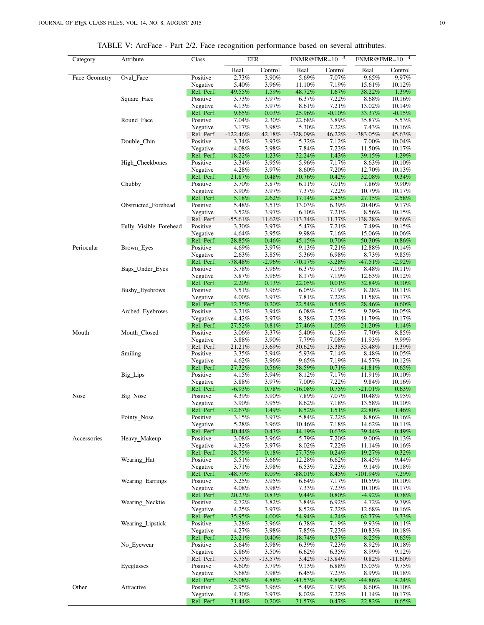<span id="page-9-0"></span>

| Category      | Attribute              | Class                  | <b>EER</b>          |                   | $FNMR@FMR=10^{-3}$ |                | $FNMR@FMR=10^{-4}$ |                    |
|---------------|------------------------|------------------------|---------------------|-------------------|--------------------|----------------|--------------------|--------------------|
|               |                        |                        | Real                | Control           | Real               | Control        | Real               | Control            |
| Face Geometry | Oval_Face              | Positive               | 2.73%               | 3.90%             | 5.69%              | 7.07%          | 9.65%              | 9.97%              |
|               |                        | Negative               | 5.40%               | 3.96%             | 11.10%             | 7.19%          | 15.61%             | 10.12%<br>1.39%    |
|               | Square_Face            | Rel. Perf.<br>Positive | 49.55%<br>3.73%     | 1.59%<br>3.97%    | 48.72%<br>6.37%    | 1.67%<br>7.22% | 38.22%<br>8.68%    | 10.16%             |
|               |                        | Negative               | 4.13%               | 3.97%             | 8.61%              | 7.21%          | 13.02%             | 10.14%             |
|               |                        | Rel. Perf.             | $9.65\%$            | 0.03%             | 25.96%             | $-0.10%$       | 33.37%             | $-0.15%$           |
|               | Round_Face             | Positive               | 7.04%               | 2.30%             | 22.68%             | 3.89%          | 35.87%             | 5.53%              |
|               |                        | Negative               | 3.17%               | 3.98%             | 5.30%              | 7.22%          | 7.43%              | 10.16%             |
|               |                        | Rel. Perf.             | $-122.46%$          | 42.18%            | $-328.09%$         | 46.22%         | $-383.05%$         | 45.63%             |
|               | Double_Chin            | Positive               | 3.34%               | 3.93%<br>3.98%    | 5.32%              | 7.12%<br>7.23% | 7.00%              | 10.04%             |
|               |                        | Negative<br>Rel. Perf. | 4.08%<br>18.22%     | 1.23%             | 7.84%<br>32.24%    | 1.43%          | 11.50%<br>39.15%   | 10.17%<br>1.29%    |
|               | High_Cheekbones        | Positive               | 3.34%               | 3.95%             | 5.96%              | 7.17%          | 8.63%              | 10.10%             |
|               |                        | Negative               | 4.28%               | 3.97%             | 8.60%              | 7.20%          | 12.70%             | 10.13%             |
|               |                        | Rel. Perf.             | 21.87%              | 0.48%             | 30.76%             | 0.42%          | 32.08%             | $0.34\%$           |
|               | Chubby                 | Positive               | 3.70%               | 3.87%             | 6.11%              | 7.01%          | 7.86%              | 9.90%              |
|               |                        | Negative               | 3.90%               | 3.97%             | 7.37%              | 7.22%          | 10.79%             | 10.17%             |
|               |                        | Rel. Perf.             | 5.18%               | 2.62%             | 17.14%             | 2.85%          | 27.15%             | 2.58%              |
|               | Obstructed_Forehead    | Positive<br>Negative   | 5.48%<br>3.52%      | 3.51%<br>3.97%    | 13.03%<br>6.10%    | 6.39%<br>7.21% | 20.40%<br>8.56%    | 9.17%<br>10.15%    |
|               |                        | Rel. Perf.             | $-55.61%$           | 11.62%            | $-113.74%$         | 11.37%         | $-138.28%$         | 9.66%              |
|               | Fully_Visible_Forehead | Positive               | 3.30%               | 3.97%             | 5.47%              | 7.21%          | 7.49%              | 10.15%             |
|               |                        | Negative               | 4.64%               | 3.95%             | 9.98%              | 7.16%          | 15.06%             | 10.06%             |
|               |                        | Rel. Perf.             | 28.85%              | $-0.46%$          | 45.15%             | $-0.70%$       | 50.30%             | $-0.86\%$          |
| Periocular    | Brown_Eyes             | Positive               | 4.69%               | 3.97%             | 9.13%              | 7.21%          | 12.88%             | 10.14%             |
|               |                        | Negative               | 2.63%               | 3.85%             | 5.36%              | 6.98%          | 8.73%              | 9.85%              |
|               | Bags_Under_Eyes        | Rel. Perf.             | $-78.48\%$          | $-2.96%$<br>3.96% | $-70.17\%$         | $-3.28%$       | $-47.51%$          | $-2.92%$           |
|               |                        | Positive<br>Negative   | 3.78%<br>3.87%      | 3.96%             | 6.37%<br>8.17%     | 7.19%<br>7.19% | 8.48%<br>12.63%    | 10.11%<br>10.12%   |
|               |                        | Rel. Perf.             | 2.20%               | 0.13%             | 22.05%             | $0.01\%$       | 32.84%             | $0.10\%$           |
|               | Bushy_Eyebrows         | Positive               | 3.51%               | 3.96%             | $6.05\%$           | 7.19%          | 8.28%              | 10.11%             |
|               |                        | Negative               | 4.00%               | 3.97%             | 7.81%              | 7.22%          | 11.58%             | 10.17%             |
|               |                        | Rel. Perf.             | 12.35%              | 0.20%             | 22.54%             | 0.54%          | 28.46%             | 0.60%              |
|               | Arched_Eyebrows        | Positive               | 3.21%               | 3.94%             | 6.08%              | 7.15%          | 9.29%              | 10.05%             |
|               |                        | Negative               | 4.42%               | 3.97%             | 8.38%              | 7.23%          | 11.79%             | $10.17\%$          |
| Mouth         | Mouth_Closed           | Rel. Perf.<br>Positive | 27.52%<br>3.06%     | 0.81%<br>3.37%    | 27.46%<br>5.40%    | 1.05%<br>6.13% | 21.20%<br>7.70%    | 1.14%<br>8.85%     |
|               |                        | Negative               | 3.88%               | 3.90%             | 7.79%              | 7.08%          | 11.93%             | 9.99%              |
|               |                        | Rel. Perf.             | 21.21%              | 13.69%            | 30.62%             | 13.38%         | 35.48%             | 11.39%             |
|               | Smiling                | Positive               | 3.35%               | 3.94%             | 5.93%              | 7.14%          | 8.48%              | 10.05%             |
|               |                        | Negative               | 4.62%               | 3.96%             | 9.65%              | 7.19%          | 14.57%             | 10.12%             |
|               |                        | Rel. Perf.             | 27.32%              | 0.56%             | 38.59%             | 0.71%          | 41.81%             | $0.65\%$           |
|               | Big_Lips               | Positive               | 4.15%               | 3.94%             | 8.12%              | 7.17%          | 11.91%             | 10.10%             |
|               |                        | Negative<br>Rel. Perf. | 3.88%<br>$-6.93%$   | 3.97%<br>0.78%    | 7.00%<br>$-16.08%$ | 7.22%<br>0.75% | 9.84%<br>$-21.01%$ | 10.16%<br>0.63%    |
| Nose          | Big_Nose               | Positive               | 4.39%               | 3.90%             | 7.89%              | 7.07%          | 10.48%             | 9.95%              |
|               |                        | Negative               | 3.90%               | 3.95%             | 8.62%              | 7.18%          | 13.58%             | 10.10%             |
|               |                        | Rel. Perf.             | $-12.67%$           | 1.49%             | 8.52%              | 1.51%          | 22.80%             | 1.46%              |
|               | Pointy_Nose            | Positive               | 3.15%               | 3.97%             | 5.84%              | 7.22%          | 8.86%              | 10.16%             |
|               |                        | Negative               | 5.28%               | 3.96%             | 10.46%             | 7.18%          | 14.62%             | 10.11%             |
|               |                        | Rel. Perf.             | 40.44%              | $-0.43%$          | 44.19%             | $-0.63%$       | 39.44%             | $-0.49\%$          |
| Accessories   | Heavy_Makeup           | Positive               | 3.08%<br>4.32%      | 3.96%<br>3.97%    | 5.79%<br>8.02%     | 7.20%<br>7.22% | $9.00\%$           | 10.13%             |
|               |                        | Negative<br>Rel. Perf. | 28.75%              | 0.18%             | 27.75%             | 0.24%          | 11.14%<br>19.27%   | 10.16%<br>$0.32\%$ |
|               | Wearing_Hat            | Positive               | 5.51%               | 3.66%             | 12.28%             | 6.62%          | 18.45%             | 9.44%              |
|               |                        | Negative               | 3.71%               | 3.98%             | 6.53%              | 7.23%          | 9.14%              | 10.18%             |
|               |                        | Rel. Perf.             | $-48.79\%$          | 8.09%             | $-88.01\%$         | 8.45%          | $-101.94\%$        | 7.29%              |
|               | Wearing_Earrings       | Positive               | $3.25\%$            | 3.95%             | 6.64%              | 7.17%          | 10.59%             | 10.10%             |
|               |                        | Negative               | 4.08%               | 3.98%             | 7.33%              | 7.23%          | 10.10%             | 10.17%             |
|               |                        | Rel. Perf.             | 20.23%              | 0.83%             | $9.44\%$           | 0.80%          | $-4.92%$           | 0.78%              |
|               | Wearing_Necktie        | Positive<br>Negative   | 2.72%<br>4.25%      | 3.82%<br>3.97%    | 3.84%<br>8.52%     | 6.92%<br>7.22% | 4.72%<br>12.68%    | 9.79%<br>10.16%    |
|               |                        | Rel. Perf.             | 35.95%              | 4.00%             | 54.94%             | 4.24%          | 62.77%             | 3.73%              |
|               | Wearing_Lipstick       | Positive               | 3.28%               | 3.96%             | 6.38%              | 7.19%          | 9.93%              | 10.11%             |
|               |                        | Negative               | 4.27%               | 3.98%             | 7.85%              | 7.23%          | 10.83%             | 10.18%             |
|               |                        | Rel. Perf.             | 23.21%              | 0.40%             | 18.74%             | 0.57%          | 8.25%              | $0.65\%$           |
|               | No_Eyewear             | Positive               | 3.64%               | 3.98%             | 6.39%              | 7.23%          | 8.92%              | 10.18%             |
|               |                        | Negative               | 3.86%               | 3.50%             | 6.62%              | 6.35%          | 8.99%              | 9.12%              |
|               |                        | Rel. Perf.             | 5.75%               | $-13.57%$         | 3.42%              | $-13.84%$      | 0.82%              | $-11.60%$          |
|               | Eyeglasses             | Positive               | 4.60%               | 3.79%             | 9.13%              | 6.88%          | 13.03%             | 9.75%              |
|               |                        | Negative<br>Rel. Perf. | 3.68%<br>$-25.08\%$ | 3.98%<br>4.88%    | 6.45%<br>$-41.53%$ | 7.23%<br>4.89% | 8.99%<br>-44.86%   | 10.18%<br>4.24%    |
| Other         | Attractive             | Positive               | 2.95%               | 3.96%             | 5.49%              | 7.19%          | 8.60%              | 10.10%             |
|               |                        | Negative               | 4.30%               | 3.97%             | 8.02%              | 7.22%          | 11.14%             | 10.17%             |

Rel. Perf. 31.44% 0.20% 31.57% 0.47% 22.82% 0.65%

TABLE V: ArcFace - Part 2/2. Face recognition performance based on several attributes.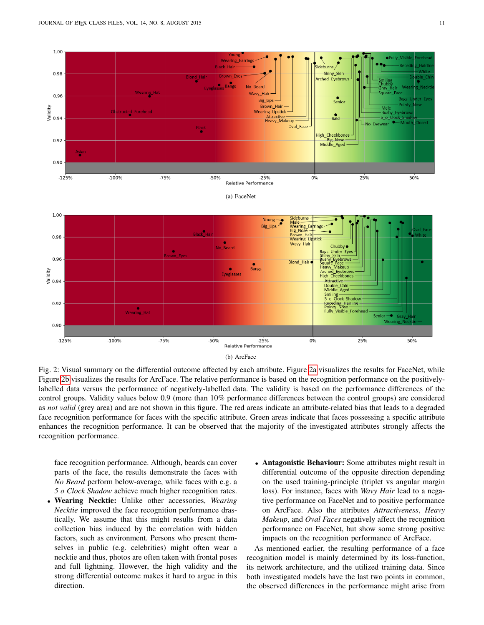<span id="page-10-2"></span><span id="page-10-1"></span><span id="page-10-0"></span>

(b) ArcFace

Fig. 2: Visual summary on the differential outcome affected by each attribute. Figure [2a](#page-10-1) visualizes the results for FaceNet, while Figure [2b](#page-10-2) visualizes the results for ArcFace. The relative performance is based on the recognition performance on the positivelylabelled data versus the performance of negatively-labelled data. The validity is based on the performance differences of the control groups. Validity values below 0.9 (more than 10% performance differences between the control groups) are considered as *not valid* (grey area) and are not shown in this figure. The red areas indicate an attribute-related bias that leads to a degraded face recognition performance for faces with the specific attribute. Green areas indicate that faces possessing a specific attribute enhances the recognition performance. It can be observed that the majority of the investigated attributes strongly affects the recognition performance.

face recognition performance. Although, beards can cover parts of the face, the results demonstrate the faces with *No Beard* perform below-average, while faces with e.g. a *5 o Clock Shadow* achieve much higher recognition rates.

- Wearing Necktie: Unlike other accessories, *Wearing Necktie* improved the face recognition performance drastically. We assume that this might results from a data collection bias induced by the correlation with hidden factors, such as environment. Persons who present themselves in public (e.g. celebrities) might often wear a necktie and thus, photos are often taken with frontal poses and full lightning. However, the high validity and the strong differential outcome makes it hard to argue in this direction.
- Antagonistic Behaviour: Some attributes might result in differential outcome of the opposite direction depending on the used training-principle (triplet vs angular margin loss). For instance, faces with *Wavy Hair* lead to a negative performance on FaceNet and to positive performance on ArcFace. Also the attributes *Attractiveness*, *Heavy Makeup*, and *Oval Faces* negatively affect the recognition performance on FaceNet, but show some strong positive impacts on the recognition performance of ArcFace.

As mentioned earlier, the resulting performance of a face recognition model is mainly determined by its loss-function, its network architecture, and the utilized training data. Since both investigated models have the last two points in common, the observed differences in the performance might arise from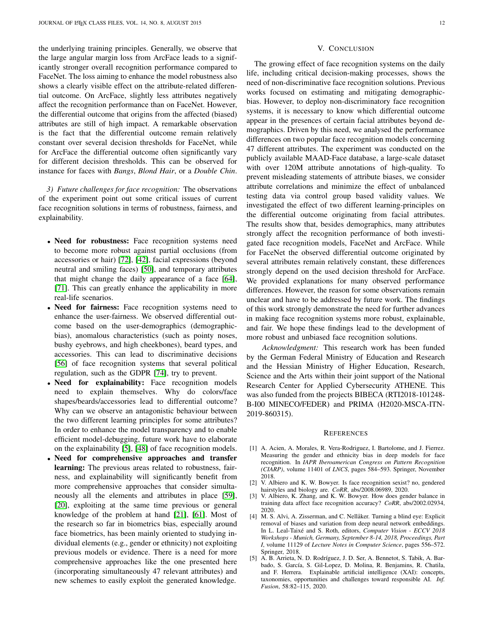the underlying training principles. Generally, we observe that the large angular margin loss from ArcFace leads to a significantly stronger overall recognition performance compared to FaceNet. The loss aiming to enhance the model robustness also shows a clearly visible effect on the attribute-related differential outcome. On ArcFace, slightly less attributes negatively affect the recognition performance than on FaceNet. However, the differential outcome that origins from the affected (biased) attributes are still of high impact. A remarkable observation is the fact that the differential outcome remain relatively constant over several decision thresholds for FaceNet, while for ArcFace the differential outcome often significantly vary for different decision thresholds. This can be observed for instance for faces with *Bangs*, *Blond Hair*, or a *Double Chin*.

*3) Future challenges for face recognition:* The observations of the experiment point out some critical issues of current face recognition solutions in terms of robustness, fairness, and explainability.

- Need for robustness: Face recognition systems need to become more robust against partial occlusions (from accessories or hair) [\[72\]](#page-13-29), [\[42\]](#page-12-40), facial expressions (beyond neutral and smiling faces) [\[50\]](#page-13-12), and temporary attributes that might change the daily appearance of a face [\[64\]](#page-13-4), [\[71\]](#page-13-5). This can greatly enhance the applicability in more real-life scenarios.
- Need for fairness: Face recognition systems need to enhance the user-fairness. We observed differential outcome based on the user-demographics (demographicbias), anomalous characteristics (such as pointy noses, bushy eyebrows, and high cheekbones), beard types, and accessories. This can lead to discriminative decisions [\[56\]](#page-13-3) of face recognition systems that several political regulation, such as the GDPR [\[74\]](#page-13-6), try to prevent.
- Need for explainability: Face recognition models need to explain themselves. Why do colors/face shapes/beards/accessories lead to differential outcome? Why can we observe an antagonistic behaviour between the two different learning principles for some attributes? In order to enhance the model transparency and to enable efficient model-debugging, future work have to elaborate on the explainability [\[5\]](#page-11-1), [\[48\]](#page-12-17) of face recognition models.
- Need for comprehensive approaches and transfer learning: The previous areas related to robustness, fairness, and explainability will significantly benefit from more comprehensive approaches that consider simultaneously all the elements and attributes in place [\[59\]](#page-13-30), [\[20\]](#page-12-41), exploiting at the same time previous or general knowledge of the problem at hand [\[21\]](#page-12-42), [\[61\]](#page-13-31). Most of the research so far in biometrics bias, especially around face biometrics, has been mainly oriented to studying individual elements (e.g., gender or ethnicity) not exploiting previous models or evidence. There is a need for more comprehensive approaches like the one presented here (incorporating simultaneously 47 relevant attributes) and new schemes to easily exploit the generated knowledge.

## V. CONCLUSION

The growing effect of face recognition systems on the daily life, including critical decision-making processes, shows the need of non-discriminative face recognition solutions. Previous works focused on estimating and mitigating demographicbias. However, to deploy non-discriminatory face recognition systems, it is necessary to know which differential outcome appear in the presences of certain facial attributes beyond demographics. Driven by this need, we analysed the performance differences on two popular face recognition models concerning 47 different attributes. The experiment was conducted on the publicly available MAAD-Face database, a large-scale dataset with over 120M attribute annotations of high-quality. To prevent misleading statements of attribute biases, we consider attribute correlations and minimize the effect of unbalanced testing data via control group based validity values. We investigated the effect of two different learning-principles on the differential outcome originating from facial attributes. The results show that, besides demographics, many attributes strongly affect the recognition performance of both investigated face recognition models, FaceNet and ArcFace. While for FaceNet the observed differential outcome originated by several attributes remain relatively constant, these differences strongly depend on the used decision threshold for ArcFace. We provided explanations for many observed performance differences. However, the reason for some observations remain unclear and have to be addressed by future work. The findings of this work strongly demonstrate the need for further advances in making face recognition systems more robust, explainable, and fair. We hope these findings lead to the development of more robust and unbiased face recognition solutions.

*Acknowledgment:* This research work has been funded by the German Federal Ministry of Education and Research and the Hessian Ministry of Higher Education, Research, Science and the Arts within their joint support of the National Research Center for Applied Cybersecurity ATHENE. This was also funded from the projects BIBECA (RTI2018-101248- B-I00 MINECO/FEDER) and PRIMA (H2020-MSCA-ITN-2019-860315).

#### **REFERENCES**

- <span id="page-11-4"></span>[1] A. Acien, A. Morales, R. Vera-Rodriguez, I. Bartolome, and J. Fierrez. Measuring the gender and ethnicity bias in deep models for face recognition. In *IAPR Iberoamerican Congress on Pattern Recognition (CIARP)*, volume 11401 of *LNCS*, pages 584–593. Springer, November 2018.
- <span id="page-11-3"></span>[2] V. Albiero and K. W. Bowyer. Is face recognition sexist? no, gendered hairstyles and biology are. *CoRR*, abs/2008.06989, 2020.
- <span id="page-11-2"></span>[3] V. Albiero, K. Zhang, and K. W. Bowyer. How does gender balance in training data affect face recognition accuracy? *CoRR*, abs/2002.02934, 2020.
- <span id="page-11-0"></span>[4] M. S. Alvi, A. Zisserman, and C. Nellåker. Turning a blind eye: Explicit removal of biases and variation from deep neural network embeddings. In L. Leal-Taixé and S. Roth, editors, *Computer Vision - ECCV 2018 Workshops - Munich, Germany, September 8-14, 2018, Proceedings, Part I*, volume 11129 of *Lecture Notes in Computer Science*, pages 556–572. Springer, 2018.
- <span id="page-11-1"></span>[5] A. B. Arrieta, N. D. Rodríguez, J. D. Ser, A. Bennetot, S. Tabik, A. Barbado, S. García, S. Gil-Lopez, D. Molina, R. Benjamins, R. Chatila, and F. Herrera. Explainable artificial intelligence (XAI): concepts, taxonomies, opportunities and challenges toward responsible AI. *Inf. Fusion*, 58:82–115, 2020.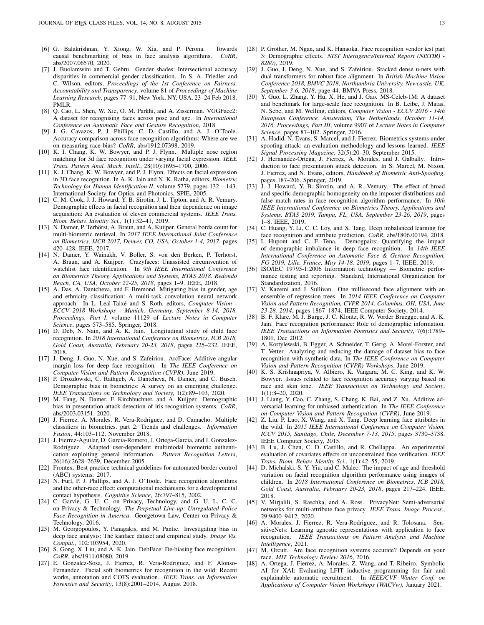- <span id="page-12-30"></span>[6] G. Balakrishnan, Y. Xiong, W. Xia, and P. Perona. Towards causal benchmarking of bias in face analysis algorithms. *CoRR*, abs/2007.06570, 2020.
- <span id="page-12-3"></span>[7] J. Buolamwini and T. Gebru. Gender shades: Intersectional accuracy disparities in commercial gender classification. In S. A. Friedler and C. Wilson, editors, *Proceedings of the 1st Conference on Fairness, Accountability and Transparency*, volume 81 of *Proceedings of Machine Learning Research*, pages 77–91, New York, NY, USA, 23–24 Feb 2018. PMLR.
- <span id="page-12-14"></span>[8] Q. Cao, L. Shen, W. Xie, O. M. Parkhi, and A. Zisserman. VGGFace2: A dataset for recognising faces across pose and age. In *International Conference on Automatic Face and Gesture Recognition*, 2018.
- <span id="page-12-24"></span>[9] J. G. Cavazos, P. J. Phillips, C. D. Castillo, and A. J. O'Toole. Accuracy comparison across face recognition algorithms: Where are we on measuring race bias? *CoRR*, abs/1912.07398, 2019.
- <span id="page-12-38"></span>[10] K. I. Chang, K. W. Bowyer, and P. J. Flynn. Multiple nose region matching for 3d face recognition under varying facial expression. *IEEE Trans. Pattern Anal. Mach. Intell.*, 28(10):1695–1700, 2006.
- <span id="page-12-39"></span>[11] K. J. Chang, K. W. Bowyer, and P. J. Flynn. Effects on facial expression in 3D face recognition. In A. K. Jain and N. K. Ratha, editors, *Biometric Technology for Human Identification II*, volume 5779, pages 132 – 143. International Society for Optics and Photonics, SPIE, 2005.
- <span id="page-12-31"></span>[12] C. M. Cook, J. J. Howard, Y. B. Sirotin, J. L. Tipton, and A. R. Vemury. Demographic effects in facial recognition and their dependence on image acquisition: An evaluation of eleven commercial systems. *IEEE Trans. Biom. Behav. Identity Sci.*, 1(1):32–41, 2019.
- <span id="page-12-0"></span>[13] N. Damer, P. Terhörst, A. Braun, and A. Kuijper. General borda count for multi-biometric retrieval. In *2017 IEEE International Joint Conference on Biometrics, IJCB 2017, Denver, CO, USA, October 1-4, 2017*, pages 420–428. IEEE, 2017.
- <span id="page-12-37"></span>[14] N. Damer, Y. Wainakh, V. Boller, S. von den Berken, P. Terhörst, A. Braun, and A. Kuijper. Crazyfaces: Unassisted circumvention of watchlist face identification. In *9th IEEE International Conference on Biometrics Theory, Applications and Systems, BTAS 2018, Redondo Beach, CA, USA, October 22-25, 2018*, pages 1–9. IEEE, 2018.
- <span id="page-12-20"></span>[15] A. Das, A. Dantcheva, and F. Bremond. Mitigating bias in gender, age and ethnicity classification: A multi-task convolution neural network approach. In L. Leal-Taixé and S. Roth, editors, *Computer Vision* -*ECCV 2018 Workshops - Munich, Germany, September 8-14, 2018, Proceedings, Part I*, volume 11129 of *Lecture Notes in Computer Science*, pages 573–585. Springer, 2018.
- <span id="page-12-23"></span>[16] D. Deb, N. Nain, and A. K. Jain. Longitudinal study of child face recognition. In *2018 International Conference on Biometrics, ICB 2018, Gold Coast, Australia, February 20-23, 2018*, pages 225–232. IEEE, 2018.
- <span id="page-12-13"></span>[17] J. Deng, J. Guo, N. Xue, and S. Zafeiriou. ArcFace: Additive angular margin loss for deep face recognition. In *The IEEE Conference on Computer Vision and Pattern Recognition (CVPR)*, June 2019.
- <span id="page-12-21"></span>[18] P. Drozdowski, C. Rathgeb, A. Dantcheva, N. Damer, and C. Busch. Demographic bias in biometrics: A survey on an emerging challenge. *IEEE Transactions on Technology and Society*, 1(2):89–103, 2020.
- <span id="page-12-18"></span>[19] M. Fang, N. Damer, F. Kirchbuchner, and A. Kuijper. Demographic bias in presentation attack detection of iris recognition systems. *CoRR*, abs/2003.03151, 2020.
- <span id="page-12-41"></span>[20] J. Fierrez, A. Morales, R. Vera-Rodriguez, and D. Camacho. Multiple classifiers in biometrics. part 2: Trends and challenges. *Information Fusion*, 44:103–112, November 2018.
- <span id="page-12-42"></span>[21] J. Fierrez-Aguilar, D. Garcia-Romero, J. Ortega-Garcia, and J. Gonzalez-Rodriguez. Adapted user-dependent multimodal biometric authentication exploiting general information. *Pattern Recognition Letters*, 26(16):2628–2639, December 2005.
- <span id="page-12-36"></span>[22] Frontex. Best practice technical guidelines for automated border control (ABC) systems. 2017.
- <span id="page-12-2"></span>[23] N. Furl, P. J. Phillips, and A. J. O'Toole. Face recognition algorithms and the other-race effect: computational mechanisms for a developmental contact hypothesis. *Cognitive Science*, 26:797–815, 2002.
- <span id="page-12-4"></span>[24] C. Garvie, G. U. C. on Privacy, Technology, and G. U. L. C. C. on Privacy & Technology. *The Perpetual Line-up: Unregulated Police Face Recognition in America*. Georgetown Law, Center on Privacy & Technology, 2016.
- <span id="page-12-29"></span>[25] M. Georgopoulos, Y. Panagakis, and M. Pantic. Investigating bias in deep face analysis: The kanface dataset and empirical study. *Image Vis. Comput.*, 102:103954, 2020.
- <span id="page-12-5"></span>[26] S. Gong, X. Liu, and A. K. Jain. DebFace: De-biasing face recognition. *CoRR*, abs/1911.08080, 2019.
- <span id="page-12-16"></span>[27] E. Gonzalez-Sosa, J. Fierrez, R. Vera-Rodriguez, and F. Alonso-Fernandez. Facial soft biometrics for recognition in the wild: Recent works, annotation and COTS evaluation. *IEEE Trans. on Information Forensics and Security*, 13(8):2001–2014, August 2018.
- <span id="page-12-28"></span>[28] P. Grother, M. Ngan, and K. Hanaoka. Face recognition vendor test part 3: Demographic effects. *NIST Interagency/Internal Report (NISTIR) - 8280)*, 2019.
- <span id="page-12-33"></span>[29] J. Guo, J. Deng, N. Xue, and S. Zafeiriou. Stacked dense u-nets with dual transformers for robust face alignment. In *British Machine Vision Conference 2018, BMVC 2018, Northumbria University, Newcastle, UK, September 3-6, 2018*, page 44. BMVA Press, 2018.
- <span id="page-12-34"></span>[30] Y. Guo, L. Zhang, Y. Hu, X. He, and J. Gao. MS-Celeb-1M: A dataset and benchmark for large-scale face recognition. In B. Leibe, J. Matas, N. Sebe, and M. Welling, editors, *Computer Vision - ECCV 2016 - 14th European Conference, Amsterdam, The Netherlands, October 11-14, 2016, Proceedings, Part III*, volume 9907 of *Lecture Notes in Computer Science*, pages 87–102. Springer, 2016.
- <span id="page-12-11"></span>[31] A. Hadid, N. Evans, S. Marcel, and J. Fierrez. Biometrics systems under spoofing attack: an evaluation methodology and lessons learned. *IEEE Signal Processing Magazine*, 32(5):20–30, September 2015.
- <span id="page-12-19"></span>[32] J. Hernandez-Ortega, J. Fierrez, A. Morales, and J. Galbally. Introduction to face presentation attack detection. In S. Marcel, M. Nixon, J. Fierrez, and N. Evans, editors, *Handbook of Biometric Anti-Spoofing*,
- <span id="page-12-12"></span>pages 187–206. Springer, 2019. [33] J. J. Howard, Y. B. Sirotin, and A. R. Vemury. The effect of broad and specific demographic homogeneity on the imposter distributions and false match rates in face recognition algorithm performance. In *10th IEEE International Conference on Biometrics Theory, Applications and Systems, BTAS 2019, Tampa, FL, USA, September 23-26, 2019*, pages 1–8. IEEE, 2019.
- <span id="page-12-9"></span>[34] C. Huang, Y. Li, C. C. Loy, and X. Tang. Deep imbalanced learning for face recognition and attribute prediction. *CoRR*, abs/1806.00194, 2018. [35] I. Hupont and C. F. Tena. Demograirs: Quantifying the impact
- <span id="page-12-26"></span>Demogpairs: Quantifying the impact of demographic imbalance in deep face recognition. In *14th IEEE International Conference on Automatic Face & Gesture Recognition, FG 2019, Lille, France, May 14-18, 2019*, pages 1–7. IEEE, 2019.
- <span id="page-12-35"></span>[36] ISO/IEC 19795-1:2006 Information technology — Biometric performance testing and reporting. Standard, International Organization for Standardization, 2016.
- <span id="page-12-32"></span>[37] V. Kazemi and J. Sullivan. One millisecond face alignment with an ensemble of regression trees. In *2014 IEEE Conference on Computer Vision and Pattern Recognition, CVPR 2014, Columbus, OH, USA, June 23-28, 2014*, pages 1867–1874. IEEE Computer Society, 2014.
- <span id="page-12-27"></span>[38] B. F. Klare, M. J. Burge, J. C. Klontz, R. W. Vorder Bruegge, and A. K. Jain. Face recognition performance: Role of demographic information. *IEEE Transactions on Information Forensics and Security*, 7(6):1789– 1801, Dec 2012.
- <span id="page-12-10"></span>[39] A. Kortylewski, B. Egger, A. Schneider, T. Gerig, A. Morel-Forster, and T. Vetter. Analyzing and reducing the damage of dataset bias to face recognition with synthetic data. In *The IEEE Conference on Computer Vision and Pattern Recognition (CVPR) Workshops*, June 2019.
- <span id="page-12-25"></span>[40] K. S. Krishnapriya, V. Albiero, K. Vangara, M. C. King, and K. W. Bowyer. Issues related to face recognition accuracy varying based on race and skin tone. *IEEE Transactions on Technology and Society*, 1(1):8–20, 2020.
- <span id="page-12-6"></span>[41] J. Liang, Y. Cao, C. Zhang, S. Chang, K. Bai, and Z. Xu. Additive adversarial learning for unbiased authentication. In *The IEEE Conference on Computer Vision and Pattern Recognition (CVPR)*, June 2019.
- <span id="page-12-40"></span>[42] Z. Liu, P. Luo, X. Wang, and X. Tang. Deep learning face attributes in the wild. In *2015 IEEE International Conference on Computer Vision, ICCV 2015, Santiago, Chile, December 7-13, 2015*, pages 3730–3738. IEEE Computer Society, 2015.
- <span id="page-12-15"></span>[43] B. Lu, J. Chen, C. D. Castillo, and R. Chellappa. An experimental evaluation of covariates effects on unconstrained face verification. *IEEE Trans. Biom. Behav. Identity Sci.*, 1(1):42–55, 2019.
- <span id="page-12-22"></span>[44] D. Michalski, S. Y. Yiu, and C. Malec. The impact of age and threshold variation on facial recognition algorithm performance using images of children. In *2018 International Conference on Biometrics, ICB 2018, Gold Coast, Australia, February 20-23, 2018*, pages 217–224. IEEE, 2018.
- <span id="page-12-8"></span>[45] V. Mirjalili, S. Raschka, and A. Ross. PrivacyNet: Semi-adversarial networks for multi-attribute face privacy. *IEEE Trans. Image Process.*, 29:9400–9412, 2020.
- <span id="page-12-7"></span>[46] A. Morales, J. Fierrez, R. Vera-Rodriguez, and R. Tolosana. SensitiveNets: Learning agnostic representations with application to face recognition. *IEEE Transactions on Pattern Analysis and Machine Intelligence*, 2021.
- <span id="page-12-1"></span>[47] M. Orcutt. Are face recognition systems accurate? Depends on your race. *MIT Technology Review 2016*, 2016.
- <span id="page-12-17"></span>[48] A. Ortega, J. Fierrez, A. Morales, Z. Wang, and T. Ribeiro. Symbolic AI for XAI: Evaluating LFIT inductive programming for fair and explainable automatic recruitment. In *IEEE/CVF Winter Conf. on Applications of Computer Vision Workshops (WACVw)*, January 2021.